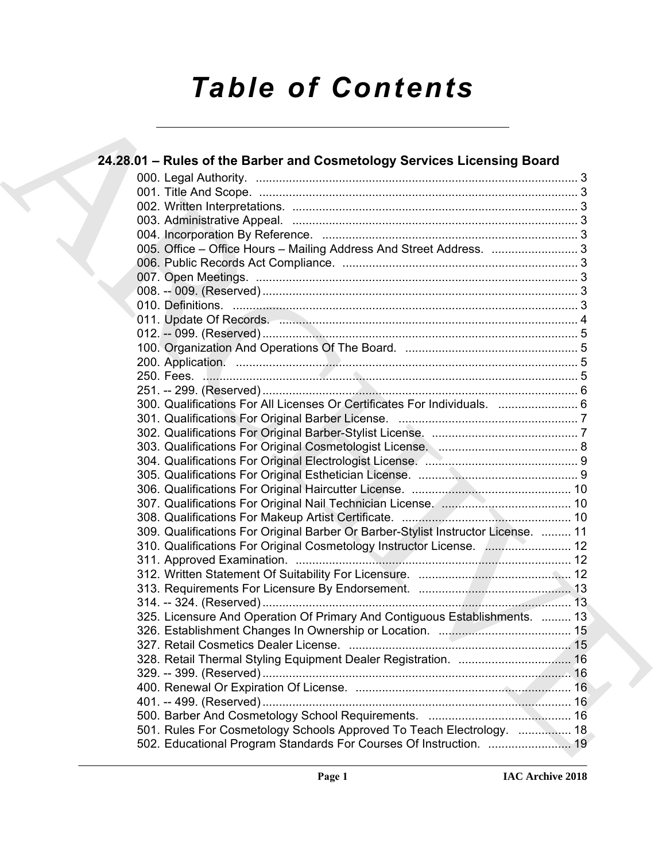# *Table of Contents*

| 24.28.01 - Rules of the Barber and Cosmetology Services Licensing Board           |  |
|-----------------------------------------------------------------------------------|--|
|                                                                                   |  |
|                                                                                   |  |
|                                                                                   |  |
|                                                                                   |  |
|                                                                                   |  |
| 005. Office – Office Hours – Mailing Address And Street Address. 3                |  |
|                                                                                   |  |
|                                                                                   |  |
|                                                                                   |  |
|                                                                                   |  |
|                                                                                   |  |
|                                                                                   |  |
|                                                                                   |  |
|                                                                                   |  |
|                                                                                   |  |
|                                                                                   |  |
| 300. Qualifications For All Licenses Or Certificates For Individuals.  6          |  |
|                                                                                   |  |
|                                                                                   |  |
|                                                                                   |  |
|                                                                                   |  |
|                                                                                   |  |
|                                                                                   |  |
|                                                                                   |  |
|                                                                                   |  |
| 309. Qualifications For Original Barber Or Barber-Stylist Instructor License.  11 |  |
| 310. Qualifications For Original Cosmetology Instructor License.  12              |  |
|                                                                                   |  |
|                                                                                   |  |
|                                                                                   |  |
|                                                                                   |  |
| 325. Licensure And Operation Of Primary And Contiguous Establishments.  13        |  |
|                                                                                   |  |
|                                                                                   |  |
|                                                                                   |  |
|                                                                                   |  |
|                                                                                   |  |
|                                                                                   |  |
|                                                                                   |  |
| 501. Rules For Cosmetology Schools Approved To Teach Electrology.  18             |  |
| 502. Educational Program Standards For Courses Of Instruction.  19                |  |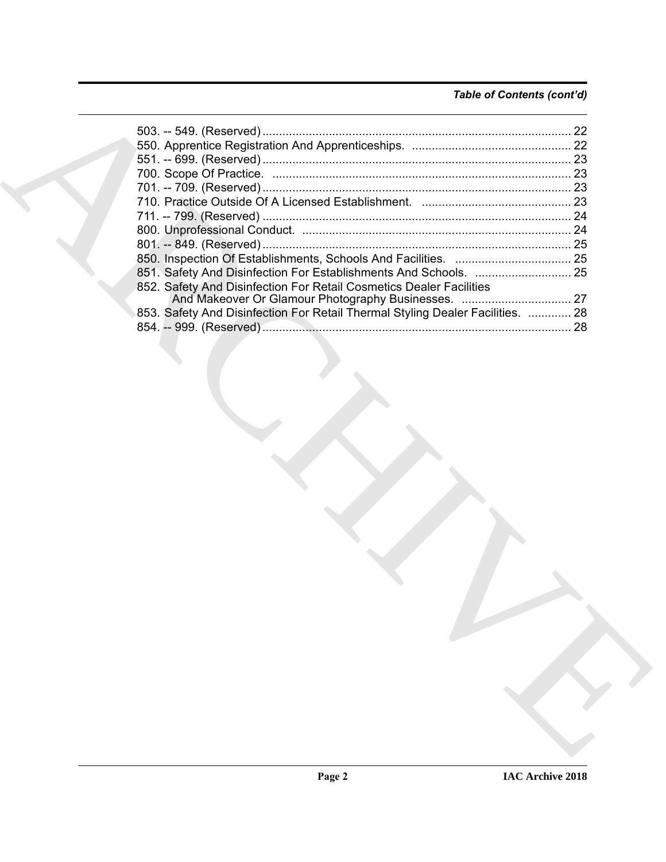## *Table of Contents (cont'd)*

| 851. Safety And Disinfection For Establishments And Schools.  25               |  |
|--------------------------------------------------------------------------------|--|
| 852. Safety And Disinfection For Retail Cosmetics Dealer Facilities            |  |
| 853. Safety And Disinfection For Retail Thermal Styling Dealer Facilities.  28 |  |
|                                                                                |  |
|                                                                                |  |
|                                                                                |  |
|                                                                                |  |
|                                                                                |  |
|                                                                                |  |
|                                                                                |  |
|                                                                                |  |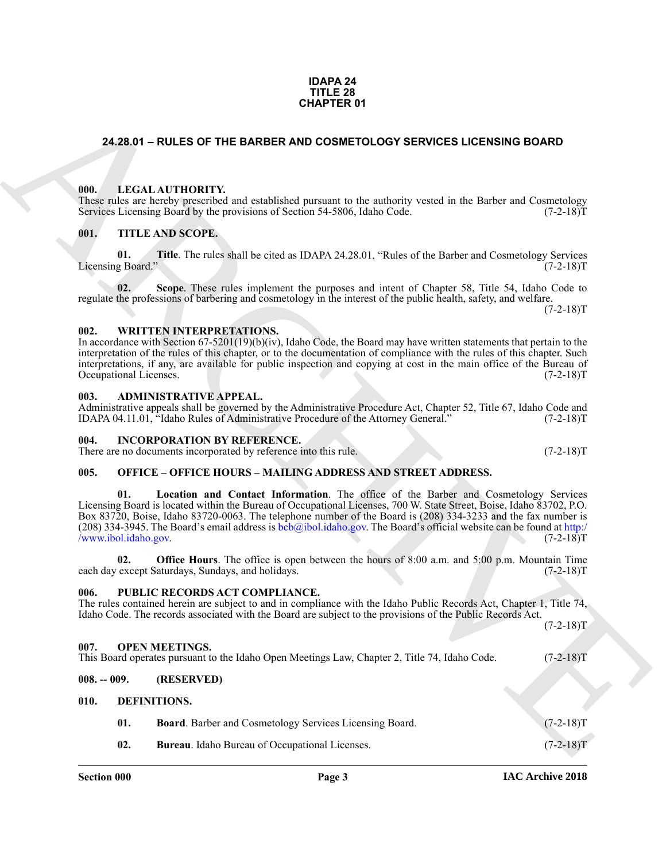#### **IDAPA 24 TITLE 28 CHAPTER 01**

#### <span id="page-2-0"></span>**24.28.01 – RULES OF THE BARBER AND COSMETOLOGY SERVICES LICENSING BOARD**

#### <span id="page-2-16"></span><span id="page-2-1"></span>**000. LEGAL AUTHORITY.**

These rules are hereby prescribed and established pursuant to the authority vested in the Barber and Cosmetology Services Licensing Board by the provisions of Section 54-5806, Idaho Code. (7-2-18)T

#### <span id="page-2-20"></span><span id="page-2-2"></span>**001. TITLE AND SCOPE.**

**01.** Title. The rules shall be cited as IDAPA 24.28.01, "Rules of the Barber and Cosmetology Services g Board." (7-2-18) Licensing Board."

**02. Scope**. These rules implement the purposes and intent of Chapter 58, Title 54, Idaho Code to regulate the professions of barbering and cosmetology in the interest of the public health, safety, and welfare.

 $(7-2-18)T$ 

#### <span id="page-2-21"></span><span id="page-2-3"></span>**002. WRITTEN INTERPRETATIONS.**

In accordance with Section 67-5201(19)(b)(iv), Idaho Code, the Board may have written statements that pertain to the interpretation of the rules of this chapter, or to the documentation of compliance with the rules of this chapter. Such interpretations, if any, are available for public inspection and copying at cost in the main office of the Bureau of Occupational Licenses. (7-2-18)T

#### <span id="page-2-11"></span><span id="page-2-4"></span>**003. ADMINISTRATIVE APPEAL.**

Administrative appeals shall be governed by the Administrative Procedure Act, Chapter 52, Title 67, Idaho Code and IDAPA 04.11.01, "Idaho Rules of Administrative Procedure of the Attorney General." (7-2-18)T

#### <span id="page-2-15"></span><span id="page-2-5"></span>**004. INCORPORATION BY REFERENCE.**

There are no documents incorporated by reference into this rule. (7-2-18)T

#### <span id="page-2-17"></span><span id="page-2-6"></span>**005. OFFICE – OFFICE HOURS – MAILING ADDRESS AND STREET ADDRESS.**

**CHAPTER 01**<br> **CHAPTER 01**<br> **CHARC[HI](mailto:bcb@ibol.idaho.gov)[V](http://www.ibol.idaho.gov)E SCHOOL AND CONTROL CONTROL CONTROL AND CONTROL CONTROL CONTROL CONTROL CONTROL CONTROL CONTROL CONTROL CONTROL CONTROL CONTROL CONTROL CONTROL CONTROL CONTROL CONTROL CONTROL CONTROL 01. Location and Contact Information**. The office of the Barber and Cosmetology Services Licensing Board is located within the Bureau of Occupational Licenses, 700 W. State Street, Boise, Idaho 83702, P.O. Box 83720, Boise, Idaho 83720-0063. The telephone number of the Board is (208) 334-3233 and the fax number is (208) 334-3945. The Board's email address is  $bcb$ @ibol.idaho.gov. The Board's official website can be found at http:/ /www.ibol.idaho.gov. (7-2-18)T

**02. Office Hours**. The office is open between the hours of 8:00 a.m. and 5:00 p.m. Mountain Time each day except Saturdays, Sundays, and holidays. (7-2-18) T

#### <span id="page-2-19"></span><span id="page-2-7"></span>**006. PUBLIC RECORDS ACT COMPLIANCE.**

The rules contained herein are subject to and in compliance with the Idaho Public Records Act, Chapter 1, Title 74, Idaho Code. The records associated with the Board are subject to the provisions of the Public Records Act. (7-2-18)T

<span id="page-2-18"></span><span id="page-2-8"></span>**007. OPEN MEETINGS.** This Board operates pursuant to the Idaho Open Meetings Law, Chapter 2, Title 74, Idaho Code. (7-2-18)T

#### <span id="page-2-9"></span>**008. -- 009. (RESERVED)**

#### <span id="page-2-10"></span>**010. DEFINITIONS.**

<span id="page-2-14"></span><span id="page-2-13"></span><span id="page-2-12"></span>

| 01. | <b>Board.</b> Barber and Cosmetology Services Licensing Board. | $(7-2-18)T$ |
|-----|----------------------------------------------------------------|-------------|
| 02. | <b>Bureau.</b> Idaho Bureau of Occupational Licenses.          | $(7-2-18)T$ |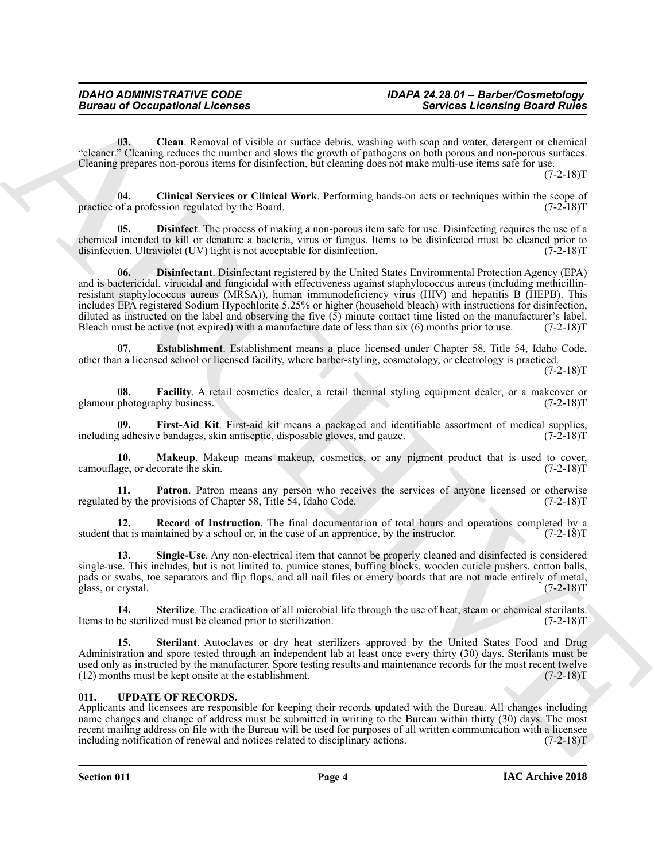<span id="page-3-1"></span>**03. Clean**. Removal of visible or surface debris, washing with soap and water, detergent or chemical "cleaner." Cleaning reduces the number and slows the growth of pathogens on both porous and non-porous surfaces. Cleaning prepares non-porous items for disinfection, but cleaning does not make multi-use items safe for use.

 $(7-2-18)T$ 

<span id="page-3-2"></span>**04.** Clinical Services or Clinical Work. Performing hands-on acts or techniques within the scope of a profession regulated by the Board. (7-2-18) practice of a profession regulated by the Board.

<span id="page-3-4"></span><span id="page-3-3"></span>**05. Disinfect**. The process of making a non-porous item safe for use. Disinfecting requires the use of a chemical intended to kill or denature a bacteria, virus or fungus. Items to be disinfected must be cleaned prior to disinfection. Ultraviolet (UV) light is not acceptable for disinfection. (7-2-18) T

Bernicus of Occupations I. Leonia control at the strategies of the strategies of the strategies of the strategies of the strategies of the strategies of the strategies of the strategies of the strategies of the strategies **06. Disinfectant**. Disinfectant registered by the United States Environmental Protection Agency (EPA) and is bactericidal, virucidal and fungicidal with effectiveness against staphylococcus aureus (including methicillinresistant staphylococcus aureus (MRSA)), human immunodeficiency virus (HIV) and hepatitis B (HEPB). This includes EPA registered Sodium Hypochlorite 5.25% or higher (household bleach) with instructions for disinfection, diluted as instructed on the label and observing the five  $(5)$  minute contact time listed on the manufacturer's label. Bleach must be active (not expired) with a manufacture date of less than six (6) months prior to use. (7-2-18)T

<span id="page-3-5"></span>**07. Establishment**. Establishment means a place licensed under Chapter 58, Title 54, Idaho Code, other than a licensed school or licensed facility, where barber-styling, cosmetology, or electrology is practiced.  $(7-2-18)T$ 

<span id="page-3-6"></span>**08.** Facility. A retail cosmetics dealer, a retail thermal styling equipment dealer, or a makeover or photography business.  $(7-2-18)T$ glamour photography business.

<span id="page-3-7"></span>**09. First-Aid Kit**. First-aid kit means a packaged and identifiable assortment of medical supplies, including adhesive bandages, skin antiseptic, disposable gloves, and gauze.  $(7-2-18)T$ 

<span id="page-3-8"></span>**10. Makeup**. Makeup means makeup, cosmetics, or any pigment product that is used to cover, uge, or decorate the skin. (7-2-18) camouflage, or decorate the skin.

<span id="page-3-9"></span>**11. Patron**. Patron means any person who receives the services of anyone licensed or otherwise l by the provisions of Chapter 58, Title 54, Idaho Code. (7-2-18) regulated by the provisions of Chapter 58, Title 54, Idaho Code.

<span id="page-3-10"></span>**12. Record of Instruction**. The final documentation of total hours and operations completed by a student that is maintained by a school or, in the case of an apprentice, by the instructor. (7-2-18)T

<span id="page-3-11"></span>**13. Single-Use**. Any non-electrical item that cannot be properly cleaned and disinfected is considered single-use. This includes, but is not limited to, pumice stones, buffing blocks, wooden cuticle pushers, cotton balls, pads or swabs, toe separators and flip flops, and all nail files or emery boards that are not made entirely of metal, glass, or crystal. (7-2-18)T

<span id="page-3-13"></span>**14.** Sterilize. The eradication of all microbial life through the use of heat, steam or chemical sterilants.<br>be sterilized must be cleaned prior to sterilization. (7-2-18)T Items to be sterilized must be cleaned prior to sterilization.

<span id="page-3-12"></span>**15. Sterilant**. Autoclaves or dry heat sterilizers approved by the United States Food and Drug Administration and spore tested through an independent lab at least once every thirty (30) days. Sterilants must be used only as instructed by the manufacturer. Spore testing results and maintenance records for the most recent twelve  $(12)$  months must be kept onsite at the establishment. (7-2-18)T

### <span id="page-3-14"></span><span id="page-3-0"></span>**011. UPDATE OF RECORDS.**

Applicants and licensees are responsible for keeping their records updated with the Bureau. All changes including name changes and change of address must be submitted in writing to the Bureau within thirty (30) days. The most recent mailing address on file with the Bureau will be used for purposes of all written communication with a licensee including notification of renewal and notices related to disciplinary actions. (7-2-18)T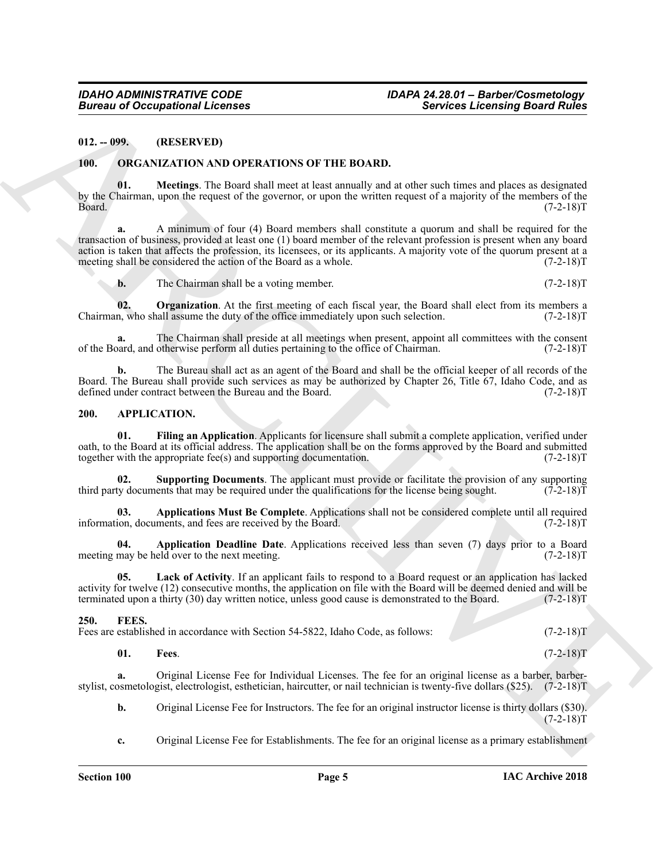### <span id="page-4-0"></span>**012. -- 099. (RESERVED)**

#### <span id="page-4-12"></span><span id="page-4-11"></span><span id="page-4-1"></span>**100. ORGANIZATION AND OPERATIONS OF THE BOARD.**

**01. Meetings**. The Board shall meet at least annually and at other such times and places as designated by the Chairman, upon the request of the governor, or upon the written request of a majority of the members of the Board. (7-2-18)  $Board.$  (7-2-18) $T$ 

Bureau of Occupational Licensies<br>
19. 299. (RESERVIEDS) (STILL BOARD)<br>
19. 299. (RESERVIEDS) (STILL BOARD)<br>
19. 20. (RESERVIEDS) (STILL BOARD)<br>
20. 20. (The Control delivered interesting the state of the state of the stat **a.** A minimum of four (4) Board members shall constitute a quorum and shall be required for the transaction of business, provided at least one (1) board member of the relevant profession is present when any board action is taken that affects the profession, its licensees, or its applicants. A majority vote of the quorum present at a meeting shall be considered the action of the Board as a whole. (7-2-18) meeting shall be considered the action of the Board as a whole.

<span id="page-4-13"></span>**b.** The Chairman shall be a voting member. (7-2-18)T

**02. Organization**. At the first meeting of each fiscal year, the Board shall elect from its members a Chairman, who shall assume the duty of the office immediately upon such selection. (7-2-18)T

**a.** The Chairman shall preside at all meetings when present, appoint all committees with the consent of the Board, and otherwise perform all duties pertaining to the office of Chairman. (7-2-18)T

**b.** The Bureau shall act as an agent of the Board and shall be the official keeper of all records of the Board. The Bureau shall provide such services as may be authorized by Chapter 26, Title 67, Idaho Code, and as defined under contract between the Bureau and the Board. (7-2-18)T

#### <span id="page-4-4"></span><span id="page-4-2"></span>**200. APPLICATION.**

<span id="page-4-7"></span>**01. Filing an Application**. Applicants for licensure shall submit a complete application, verified under oath, to the Board at its official address. The application shall be on the forms approved by the Board and submitted together with the appropriate fee(s) and supporting documentation.  $(7-2-18)T$ together with the appropriate fee $(s)$  and supporting documentation.

<span id="page-4-9"></span>**02. Supporting Documents**. The applicant must provide or facilitate the provision of any supporting third party documents that may be required under the qualifications for the license being sought.  $(7-2-18)T$ 

<span id="page-4-6"></span>**03.** Applications Must Be Complete. Applications shall not be considered complete until all required ion, documents, and fees are received by the Board. (7-2-18) information, documents, and fees are received by the Board.

<span id="page-4-5"></span>**04. Application Deadline Date**. Applications received less than seven (7) days prior to a Board may be held over to the next meeting. (7-2-18) meeting may be held over to the next meeting.

<span id="page-4-8"></span>**05. Lack of Activity**. If an applicant fails to respond to a Board request or an application has lacked activity for twelve (12) consecutive months, the application on file with the Board will be deemed denied and will be terminated upon a thirty (30) day written notice, unless good cause is demonstrated to the Board. (7-2-18)T

#### <span id="page-4-10"></span><span id="page-4-3"></span>**250. FEES.**

Fees are established in accordance with Section 54-5822, Idaho Code, as follows: (7-2-18)T

**01. Fees**. (7-2-18)T

**a.** Original License Fee for Individual Licenses. The fee for an original license as a barber, barberstylist, cosmetologist, electrologist, esthetician, haircutter, or nail technician is twenty-five dollars (\$25). (7-2-18)T

**b.** Original License Fee for Instructors. The fee for an original instructor license is thirty dollars (\$30).  $(7-2-18)T$ 

**c.** Original License Fee for Establishments. The fee for an original license as a primary establishment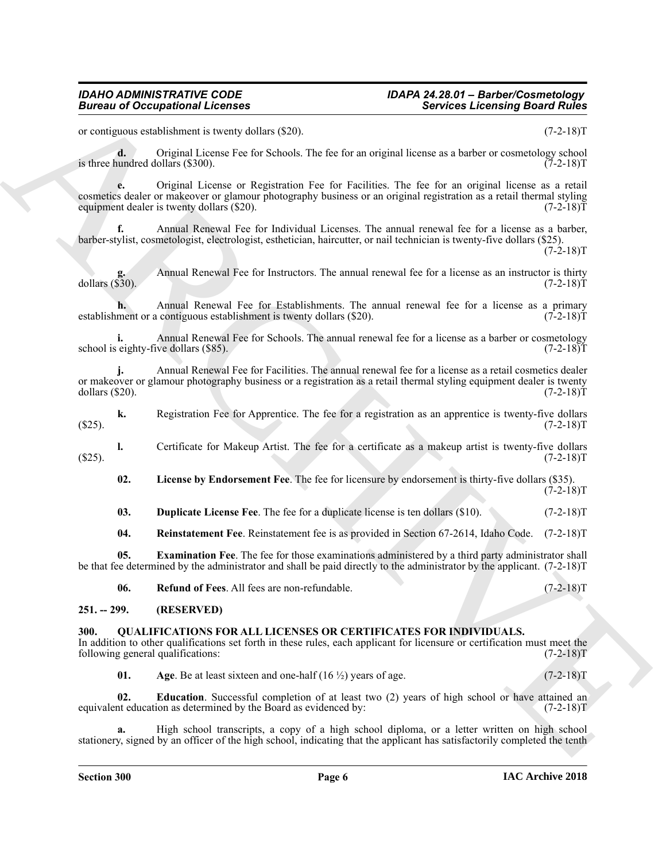# *IDAHO ADMINISTRATIVE CODE IDAPA 24.28.01 – Barber/Cosmetology*

or contiguous establishment is twenty dollars (\$20). (7-2-18)T

**d.** Original License Fee for Schools. The fee for an original license as a barber or cosmetology school undred dollars (\$300). is three hundred dollars (\$300).

**e.** Original License or Registration Fee for Facilities. The fee for an original license as a retail cosmetics dealer or makeover or glamour photography business or an original registration as a retail thermal styling equipment dealer is twenty dollars (\$20).  $(7-2-18)T$ 

**f.** Annual Renewal Fee for Individual Licenses. The annual renewal fee for a license as a barber, barber-stylist, cosmetologist, electrologist, esthetician, haircutter, or nail technician is twenty-five dollars (\$25).  $(7-2-18)T$ 

**g.** Annual Renewal Fee for Instructors. The annual renewal fee for a license as an instructor is thirty dollars (\$30). (7-2-18)T

**h.** Annual Renewal Fee for Establishments. The annual renewal fee for a license as a primary establishment or a contiguous establishment is twenty dollars  $(\$20)$ .  $(7-2-18)T$ 

**i.** Annual Renewal Fee for Schools. The annual renewal fee for a license as a barber or cosmetology school is eighty-five dollars (\$85). (7-2-18)T

Bureau of Occupations I Levense<br>
and continuous continuous test that is the state of the state of the state of the state of the state of the state of the state of the state of the state of the state of the state of the st **j.** Annual Renewal Fee for Facilities. The annual renewal fee for a license as a retail cosmetics dealer or makeover or glamour photography business or a registration as a retail thermal styling equipment dealer is twenty dollars (\$20). (7-2-18)T

**k.** Registration Fee for Apprentice. The fee for a registration as an apprentice is twenty-five dollars (7-2-18)  $(7-2-18)$ T (7-2-18)T

**l.** Certificate for Makeup Artist. The fee for a certificate as a makeup artist is twenty-five dollars (7-2-18)  $(7-2-18)$ T (7-2-18)T

<span id="page-5-4"></span>**02. License by Endorsement Fee**. The fee for licensure by endorsement is thirty-five dollars (\$35).  $(7-2-18)T$ 

<span id="page-5-2"></span>**03. Duplicate License Fee**. The fee for a duplicate license is ten dollars (\$10). (7-2-18)T

<span id="page-5-6"></span><span id="page-5-3"></span>**04. Reinstatement Fee**. Reinstatement fee is as provided in Section 67-2614, Idaho Code. (7-2-18)T

**05. Examination Fee**. The fee for those examinations administered by a third party administrator shall be that fee determined by the administrator and shall be paid directly to the administrator by the applicant. (7-2-18)T

<span id="page-5-7"></span><span id="page-5-5"></span>**06. Refund of Fees**. All fees are non-refundable. (7-2-18)T

<span id="page-5-0"></span>**251. -- 299. (RESERVED)**

#### <span id="page-5-1"></span>**300. QUALIFICATIONS FOR ALL LICENSES OR CERTIFICATES FOR INDIVIDUALS.**

In addition to other qualifications set forth in these rules, each applicant for licensure or certification must meet the following general qualifications: (7-2-18)T

<span id="page-5-9"></span><span id="page-5-8"></span>**01.** Age. Be at least sixteen and one-half  $(16 \frac{1}{2})$  years of age.  $(7-2-18)$ T

**02. Education**. Successful completion of at least two (2) years of high school or have attained an equivalent education as determined by the Board as evidenced by: (7-2-18)T

**a.** High school transcripts, a copy of a high school diploma, or a letter written on high school stationery, signed by an officer of the high school, indicating that the applicant has satisfactorily completed the tenth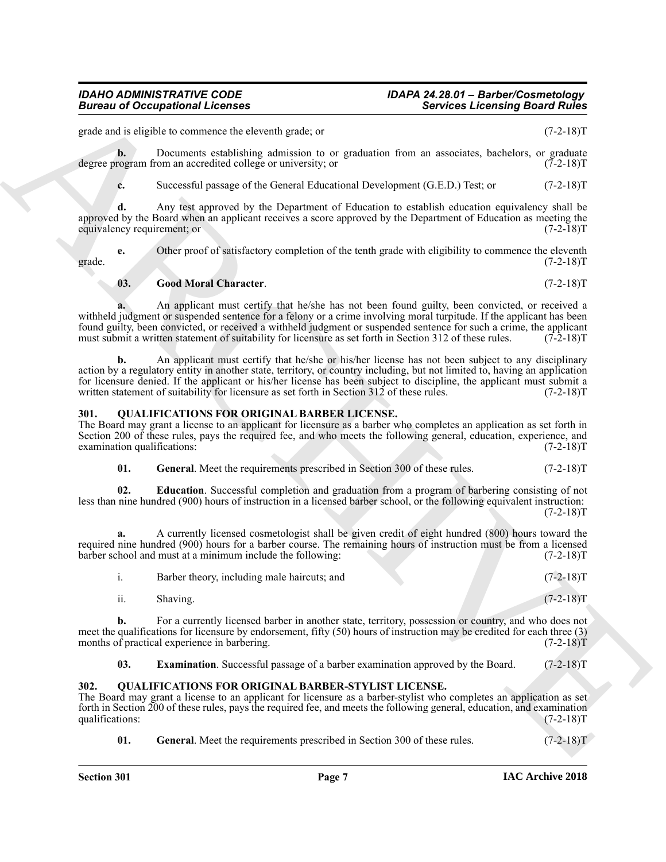# *IDAHO ADMINISTRATIVE CODE IDAPA 24.28.01 – Barber/Cosmetology*

grade and is eligible to commence the eleventh grade; or  $(7-2-18)$ T

**b.** Documents establishing admission to or graduation from an associates, bachelors, or graduate rogram from an accredited college or university; or degree program from an accredited college or university; or

**c.** Successful passage of the General Educational Development (G.E.D.) Test; or (7-2-18)T

**d.** Any test approved by the Department of Education to establish education equivalency shall be approved by the Board when an applicant receives a score approved by the Department of Education as meeting the equivalency requirement; or  $(7-2-18)$ T

**e.** Other proof of satisfactory completion of the tenth grade with eligibility to commence the eleventh (7-2-18)T grade.  $(7-2-18)T$ 

### <span id="page-6-2"></span>**03. Good Moral Character**. (7-2-18)T

**a.** An applicant must certify that he/she has not been found guilty, been convicted, or received a withheld judgment or suspended sentence for a felony or a crime involving moral turpitude. If the applicant has been found guilty, been convicted, or received a withheld judgment or suspended sentence for such a crime, the applicant must submit a written statement of suitability for licensure as set forth in Section 312 of these rules.  $(7-2-18)$ T

**Europea and Conceptions I. Formula Architects**<br>
and the solution of the solution of the solution of the solution of the solution of the solution of the solution of the solution of the solution of the solution of the solu **b.** An applicant must certify that he/she or his/her license has not been subject to any disciplinary action by a regulatory entity in another state, territory, or country including, but not limited to, having an application for licensure denied. If the applicant or his/her license has been subject to discipline, the applicant must submit a written statement of suitability for licensure as set forth in Section 312 of these rules. (7-2-18)T written statement of suitability for licensure as set forth in Section 312 of these rules.

### <span id="page-6-3"></span><span id="page-6-0"></span>**301. QUALIFICATIONS FOR ORIGINAL BARBER LICENSE.**

The Board may grant a license to an applicant for licensure as a barber who completes an application as set forth in Section 200 of these rules, pays the required fee, and who meets the following general, education, experience, and examination qualifications: (7-2-18)T

<span id="page-6-6"></span><span id="page-6-4"></span>**01.** General. Meet the requirements prescribed in Section 300 of these rules. (7-2-18)

**02. Education**. Successful completion and graduation from a program of barbering consisting of not less than nine hundred (900) hours of instruction in a licensed barber school, or the following equivalent instruction:  $(7-2-18)T$ 

**a.** A currently licensed cosmetologist shall be given credit of eight hundred (800) hours toward the required nine hundred (900) hours for a barber course. The remaining hours of instruction must be from a licensed<br>barber school and must at a minimum include the following: (7-2-18) barber school and must at a minimum include the following:

|     | Barber theory, including male haircuts; and | $(7-2-18)T$ |
|-----|---------------------------------------------|-------------|
| ii. | Shaving.                                    | $(7-2-18)T$ |

**b.** For a currently licensed barber in another state, territory, possession or country, and who does not meet the qualifications for licensure by endorsement, fifty (50) hours of instruction may be credited for each three (3) months of practical experience in barbering. (7-2-18)T

<span id="page-6-7"></span><span id="page-6-5"></span>**03. Examination**. Successful passage of a barber examination approved by the Board. (7-2-18)T

### <span id="page-6-1"></span>**302. QUALIFICATIONS FOR ORIGINAL BARBER-STYLIST LICENSE.**

The Board may grant a license to an applicant for licensure as a barber-stylist who completes an application as set forth in Section 200 of these rules, pays the required fee, and meets the following general, education, and examination qualifications:

<span id="page-6-8"></span>**01.** General. Meet the requirements prescribed in Section 300 of these rules. (7-2-18)T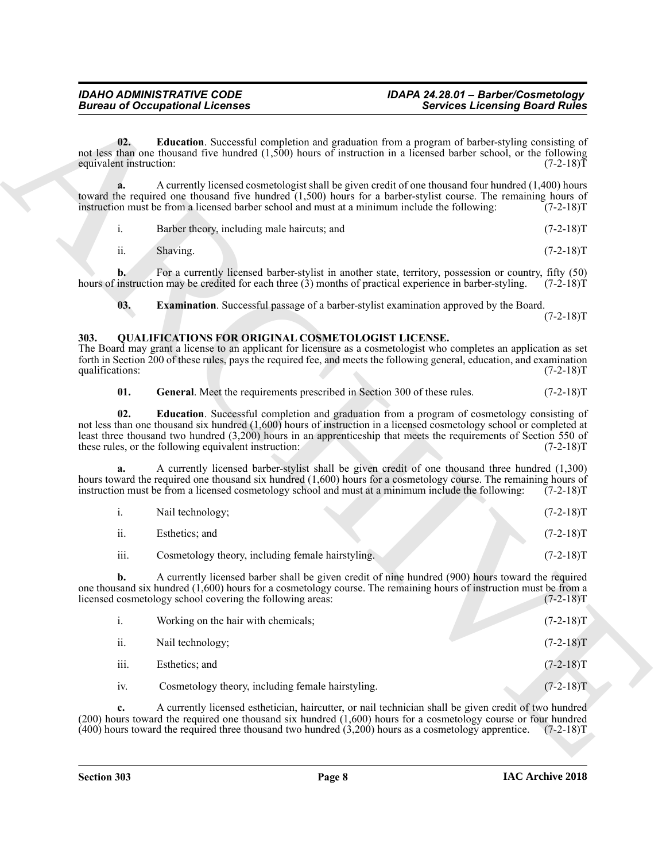<span id="page-7-2"></span><span id="page-7-1"></span>

| Barber theory, including male haircuts; and | $(7-2-18)T$ |
|---------------------------------------------|-------------|
|                                             |             |

### <span id="page-7-5"></span><span id="page-7-4"></span><span id="page-7-3"></span><span id="page-7-0"></span>**303. QUALIFICATIONS FOR ORIGINAL COSMETOLOGIST LICENSE.**

|                  | Nail technology;                                  | $(7-2-18)T$ |
|------------------|---------------------------------------------------|-------------|
| ii.              | Esthetics; and                                    | $(7-2-18)T$ |
| $\cdots$<br>111. | Cosmetology theory, including female hairstyling. | $(7-2-18)T$ |

|                                | <b>Bureau of Occupational Licenses</b>                                                         | <b>Services Licensing Board Rules</b>                                                                                                                                                                                                                                                                                                     |             |
|--------------------------------|------------------------------------------------------------------------------------------------|-------------------------------------------------------------------------------------------------------------------------------------------------------------------------------------------------------------------------------------------------------------------------------------------------------------------------------------------|-------------|
| 02.<br>equivalent instruction: |                                                                                                | Education. Successful completion and graduation from a program of barber-styling consisting of<br>not less than one thousand five hundred (1,500) hours of instruction in a licensed barber school, or the following                                                                                                                      | $(7-2-18)T$ |
| a.                             | instruction must be from a licensed barber school and must at a minimum include the following: | A currently licensed cosmetologist shall be given credit of one thousand four hundred (1,400) hours<br>toward the required one thousand five hundred $(1,500)$ hours for a barber-stylist course. The remaining hours of                                                                                                                  | $(7-2-18)T$ |
| i.                             | Barber theory, including male haircuts; and                                                    |                                                                                                                                                                                                                                                                                                                                           | $(7-2-18)T$ |
| ii.                            | Shaving.                                                                                       |                                                                                                                                                                                                                                                                                                                                           | $(7-2-18)T$ |
| $\mathbf{b}$ .                 |                                                                                                | For a currently licensed barber-stylist in another state, territory, possession or country, fifty (50)<br>hours of instruction may be credited for each three (3) months of practical experience in barber-styling.                                                                                                                       | $(7-2-18)T$ |
| 03.                            |                                                                                                | <b>Examination.</b> Successful passage of a barber-stylist examination approved by the Board.                                                                                                                                                                                                                                             | $(7-2-18)T$ |
| 303.<br>qualifications:        | QUALIFICATIONS FOR ORIGINAL COSMETOLOGIST LICENSE.                                             | The Board may grant a license to an applicant for licensure as a cosmetologist who completes an application as set<br>forth in Section 200 of these rules, pays the required fee, and meets the following general, education, and examination                                                                                             | $(7-2-18)T$ |
| 01.                            | General. Meet the requirements prescribed in Section 300 of these rules.                       |                                                                                                                                                                                                                                                                                                                                           | $(7-2-18)T$ |
| 02.                            | these rules, or the following equivalent instruction:                                          | Education. Successful completion and graduation from a program of cosmetology consisting of<br>not less than one thousand six hundred (1,600) hours of instruction in a licensed cosmetology school or completed at<br>least three thousand two hundred (3,200) hours in an apprenticeship that meets the requirements of Section 550 of  | $(7-2-18)T$ |
| a.                             |                                                                                                | A currently licensed barber-stylist shall be given credit of one thousand three hundred (1,300)<br>hours toward the required one thousand six hundred (1,600) hours for a cosmetology course. The remaining hours of<br>instruction must be from a licensed cosmetology school and must at a minimum include the following:               | $(7-2-18)T$ |
| i.                             | Nail technology;                                                                               |                                                                                                                                                                                                                                                                                                                                           | $(7-2-18)T$ |
| ii.                            | Esthetics; and                                                                                 |                                                                                                                                                                                                                                                                                                                                           | $(7-2-18)T$ |
| iii.                           | Cosmetology theory, including female hairstyling.                                              |                                                                                                                                                                                                                                                                                                                                           | $(7-2-18)T$ |
| b.                             | licensed cosmetology school covering the following areas:                                      | A currently licensed barber shall be given credit of nine hundred (900) hours toward the required<br>one thousand six hundred $(1,600)$ hours for a cosmetology course. The remaining hours of instruction must be from a                                                                                                                 | $(7-2-18)T$ |
| i.                             | Working on the hair with chemicals;                                                            |                                                                                                                                                                                                                                                                                                                                           | $(7-2-18)T$ |
| ii.                            | Nail technology;                                                                               |                                                                                                                                                                                                                                                                                                                                           | $(7-2-18)T$ |
| iii.                           | Esthetics; and                                                                                 |                                                                                                                                                                                                                                                                                                                                           | $(7-2-18)T$ |
| iv.                            | Cosmetology theory, including female hairstyling.                                              |                                                                                                                                                                                                                                                                                                                                           | $(7-2-18)T$ |
| c.                             |                                                                                                | A currently licensed esthetician, haircutter, or nail technician shall be given credit of two hundred<br>$(200)$ hours toward the required one thousand six hundred $(1,600)$ hours for a cosmetology course or four hundred<br>$(400)$ hours toward the required three thousand two hundred $(3,200)$ hours as a cosmetology apprentice. | $(7-2-18)T$ |
|                                |                                                                                                |                                                                                                                                                                                                                                                                                                                                           |             |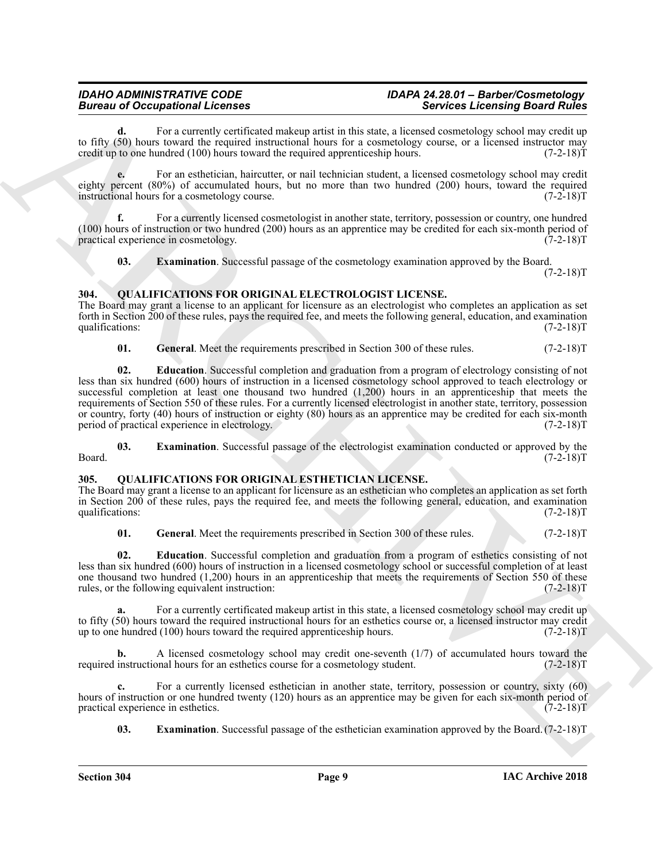# *IDAHO ADMINISTRATIVE CODE IDAPA 24.28.01 – Barber/Cosmetology*

For a currently certificated makeup artist in this state, a licensed cosmetology school may credit up to fifty (50) hours toward the required instructional hours for a cosmetology course, or a licensed instructor may credit up to one hundred (100) hours toward the required apprenticeship hours. (7-2-18)T

**e.** For an esthetician, haircutter, or nail technician student, a licensed cosmetology school may credit eighty percent (80%) of accumulated hours, but no more than two hundred (200) hours, toward the required instructional hours for a cosmetology course. (7-2-18) instructional hours for a cosmetology course.

**f.** For a currently licensed cosmetologist in another state, territory, possession or country, one hundred (100) hours of instruction or two hundred (200) hours as an apprentice may be credited for each six-month period of practical experience in cosmetology.  $(7-2-18)T$ 

<span id="page-8-3"></span><span id="page-8-2"></span>**03. Examination**. Successful passage of the cosmetology examination approved by the Board.

 $(7-2-18)T$ 

### <span id="page-8-0"></span>**304. QUALIFICATIONS FOR ORIGINAL ELECTROLOGIST LICENSE.**

The Board may grant a license to an applicant for licensure as an electrologist who completes an application as set forth in Section 200 of these rules, pays the required fee, and meets the following general, education, and examination qualifications: (7-2-18)T

<span id="page-8-6"></span><span id="page-8-4"></span>**01.** General. Meet the requirements prescribed in Section 300 of these rules. (7-2-18)T

Bureau of Occupation at Lemma is a state that the payer of the laboratory state of Contract Contract Contract Contract Contract Contract Contract Contract Contract Contract Contract Contract Contract Contract Contract Con **02. Education**. Successful completion and graduation from a program of electrology consisting of not less than six hundred (600) hours of instruction in a licensed cosmetology school approved to teach electrology or successful completion at least one thousand two hundred  $(1,200)$  hours in an apprenticeship that meets the requirements of Section 550 of these rules. For a currently licensed electrologist in another state, territory, possession or country, forty (40) hours of instruction or eighty (80) hours as an apprentice may be credited for each six-month period of practical experience in electrology. (7-2-18) period of practical experience in electrology.

<span id="page-8-5"></span>**03. Examination**. Successful passage of the electrologist examination conducted or approved by the  $(7-2-18)T$  $Board.$  (7-2-18) $T$ 

### <span id="page-8-7"></span><span id="page-8-1"></span>**305. QUALIFICATIONS FOR ORIGINAL ESTHETICIAN LICENSE.**

The Board may grant a license to an applicant for licensure as an esthetician who completes an application as set forth in Section 200 of these rules, pays the required fee, and meets the following general, education, and examination qualifications: (7-2-18)T

<span id="page-8-10"></span><span id="page-8-8"></span>**01.** General. Meet the requirements prescribed in Section 300 of these rules. (7-2-18)

**02. Education**. Successful completion and graduation from a program of esthetics consisting of not less than six hundred (600) hours of instruction in a licensed cosmetology school or successful completion of at least one thousand two hundred (1,200) hours in an apprenticeship that meets the requirements of Section 550 of these rules, or the following equivalent instruction: (7-2-18)T

**a.** For a currently certificated makeup artist in this state, a licensed cosmetology school may credit up to fifty (50) hours toward the required instructional hours for an esthetics course or, a licensed instructor may credit up to one hundred (100) hours toward the required apprenticeship hours. (7-2-18)T

**b.** A licensed cosmetology school may credit one-seventh  $(1/7)$  of accumulated hours toward the instructional hours for an esthetics course for a cosmetology student.  $(7-2-18)$ T required instructional hours for an esthetics course for a cosmetology student.

**c.** For a currently licensed esthetician in another state, territory, possession or country, sixty (60) hours of instruction or one hundred twenty (120) hours as an apprentice may be given for each six-month period of practical experience in esthetics. (7-2-18)T

<span id="page-8-9"></span>**03. Examination**. Successful passage of the esthetician examination approved by the Board. (7-2-18)T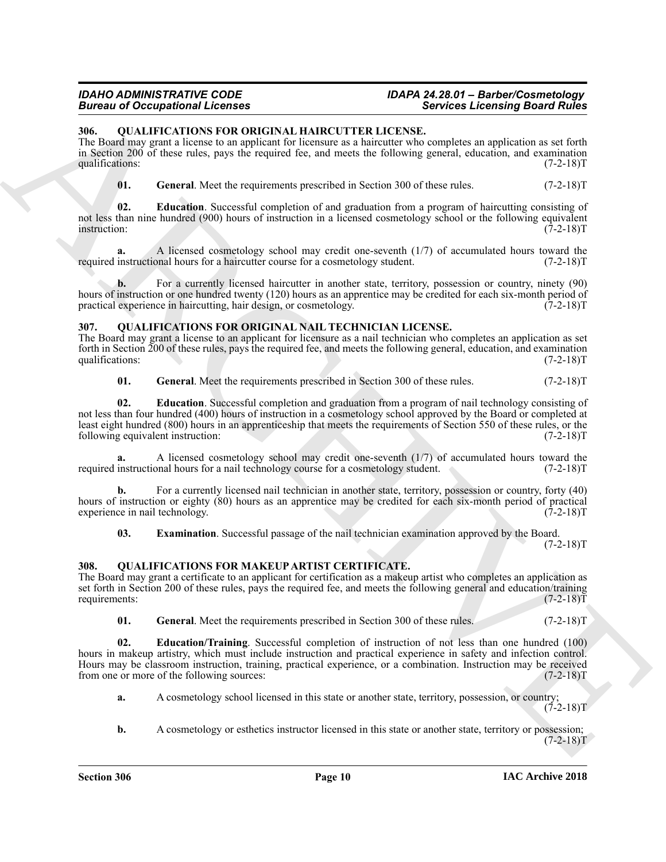# *IDAHO ADMINISTRATIVE CODE IDAPA 24.28.01 – Barber/Cosmetology*

### <span id="page-9-6"></span><span id="page-9-0"></span>**306. QUALIFICATIONS FOR ORIGINAL HAIRCUTTER LICENSE.**

The Board may grant a license to an applicant for licensure as a haircutter who completes an application as set forth in Section 200 of these rules, pays the required fee, and meets the following general, education, and examination qualifications: (7-2-18) qualifications:

<span id="page-9-8"></span><span id="page-9-7"></span>**01.** General. Meet the requirements prescribed in Section 300 of these rules.  $(7-2-18)T$ 

**02. Education**. Successful completion of and graduation from a program of haircutting consisting of not less than nine hundred (900) hours of instruction in a licensed cosmetology school or the following equivalent instruction:  $(7-2-18)T$ 

**a.** A licensed cosmetology school may credit one-seventh (1/7) of accumulated hours toward the instructional hours for a haircutter course for a cosmetology student. (7-2-18)T required instructional hours for a haircutter course for a cosmetology student.

**b.** For a currently licensed haircutter in another state, territory, possession or country, ninety (90) hours of instruction or one hundred twenty (120) hours as an apprentice may be credited for each six-month period of practical experience in haircutting, hair design, or cosmetology. (7-2-18) practical experience in haircutting, hair design, or cosmetology.

### <span id="page-9-9"></span><span id="page-9-1"></span>**307. QUALIFICATIONS FOR ORIGINAL NAIL TECHNICIAN LICENSE.**

The Board may grant a license to an applicant for licensure as a nail technician who completes an application as set forth in Section 200 of these rules, pays the required fee, and meets the following general, education, and examination qualifications:

<span id="page-9-12"></span><span id="page-9-10"></span>**01.** General. Meet the requirements prescribed in Section 300 of these rules. (7-2-18)T

**Brown of Constraints Licensins (Except 1.6 Constraints 2.0 Constraints 2.0 Constraints 2.0 Constraints 2.0 Constraints 2.0 Constraints 2.0 Constraints 2.0 Constraints 2.0 Constraints 2.0 Constraints 2.0 Constraints 2.0 C 02. Education**. Successful completion and graduation from a program of nail technology consisting of not less than four hundred (400) hours of instruction in a cosmetology school approved by the Board or completed at least eight hundred (800) hours in an apprenticeship that meets the requirements of Section 550 of these rules, or the following equivalent instruction: (7-2-18) following equivalent instruction:

**a.** A licensed cosmetology school may credit one-seventh (1/7) of accumulated hours toward the required instructional hours for a nail technology course for a cosmetology student. (7-2-18)T

**b.** For a currently licensed nail technician in another state, territory, possession or country, forty (40) hours of instruction or eighty (80) hours as an apprentice may be credited for each six-month period of practical experience in nail technology. (7-2-18)T

<span id="page-9-11"></span><span id="page-9-3"></span>**03. Examination**. Successful passage of the nail technician examination approved by the Board.

 $(7-2-18)T$ 

### <span id="page-9-2"></span>**308. QUALIFICATIONS FOR MAKEUP ARTIST CERTIFICATE.**

The Board may grant a certificate to an applicant for certification as a makeup artist who completes an application as set forth in Section 200 of these rules, pays the required fee, and meets the following general and education/training requirements: (7-2-18) requirements:

<span id="page-9-5"></span><span id="page-9-4"></span>**01.** General. Meet the requirements prescribed in Section 300 of these rules. (7-2-18)

**02. Education/Training**. Successful completion of instruction of not less than one hundred (100) hours in makeup artistry, which must include instruction and practical experience in safety and infection control. Hours may be classroom instruction, training, practical experience, or a combination. Instruction may be received from one or more of the following sources: (7-2-18)T

**a.** A cosmetology school licensed in this state or another state, territory, possession, or country;  $(7-2-18)T$ 

**b.** A cosmetology or esthetics instructor licensed in this state or another state, territory or possession;  $(7-2-18)T$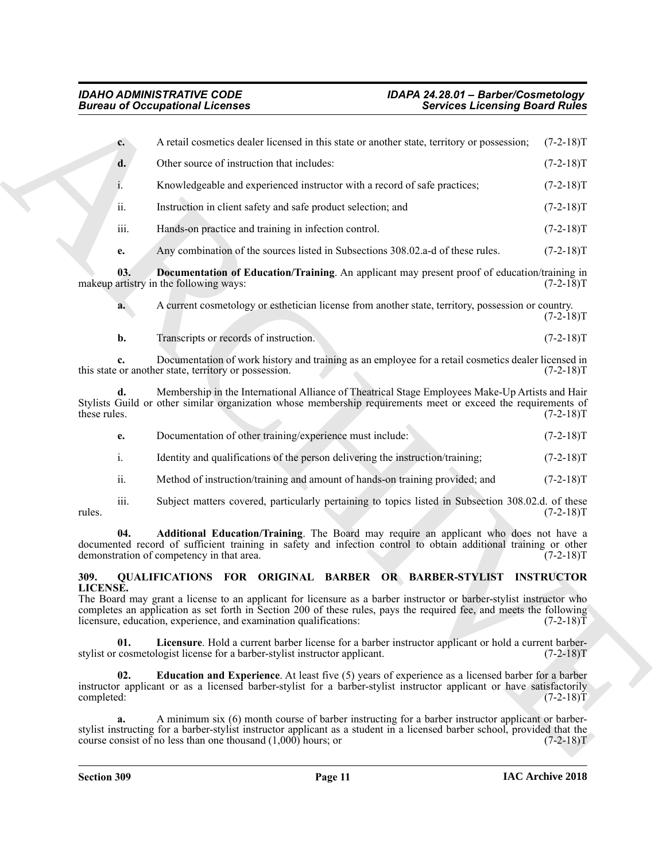<span id="page-10-2"></span>

|                    | <b>Bureau of Occupational Licenses</b>                                                                                                                                                                                                                                                                                                                                             | <b>Services Licensing Board Rules</b> |
|--------------------|------------------------------------------------------------------------------------------------------------------------------------------------------------------------------------------------------------------------------------------------------------------------------------------------------------------------------------------------------------------------------------|---------------------------------------|
| $c_{\cdot}$        | A retail cosmetics dealer licensed in this state or another state, territory or possession;                                                                                                                                                                                                                                                                                        | $(7-2-18)T$                           |
| d.                 | Other source of instruction that includes:                                                                                                                                                                                                                                                                                                                                         | $(7-2-18)T$                           |
| 1.                 | Knowledgeable and experienced instructor with a record of safe practices;                                                                                                                                                                                                                                                                                                          | $(7-2-18)T$                           |
| ii.                | Instruction in client safety and safe product selection; and                                                                                                                                                                                                                                                                                                                       | $(7-2-18)T$                           |
| iii.               | Hands-on practice and training in infection control.                                                                                                                                                                                                                                                                                                                               | $(7-2-18)T$                           |
| е.                 | Any combination of the sources listed in Subsections 308.02.a-d of these rules.                                                                                                                                                                                                                                                                                                    | $(7-2-18)T$                           |
| 03.                | Documentation of Education/Training. An applicant may present proof of education/training in<br>makeup artistry in the following ways:                                                                                                                                                                                                                                             | $(7-2-18)T$                           |
| а.                 | A current cosmetology or esthetician license from another state, territory, possession or country.                                                                                                                                                                                                                                                                                 | $(7-2-18)T$                           |
| b.                 | Transcripts or records of instruction.                                                                                                                                                                                                                                                                                                                                             | $(7-2-18)T$                           |
| c.                 | Documentation of work history and training as an employee for a retail cosmetics dealer licensed in<br>this state or another state, territory or possession.                                                                                                                                                                                                                       | $(7-2-18)T$                           |
| d.<br>these rules. | Membership in the International Alliance of Theatrical Stage Employees Make-Up Artists and Hair<br>Stylists Guild or other similar organization whose membership requirements meet or exceed the requirements of                                                                                                                                                                   | $(7-2-18)T$                           |
| е.                 | Documentation of other training/experience must include:                                                                                                                                                                                                                                                                                                                           | $(7-2-18)T$                           |
| $\mathbf{i}$ .     | Identity and qualifications of the person delivering the instruction/training;                                                                                                                                                                                                                                                                                                     | $(7-2-18)T$                           |
| ii.                | Method of instruction/training and amount of hands-on training provided; and                                                                                                                                                                                                                                                                                                       | $(7-2-18)T$                           |
| iii.<br>rules.     | Subject matters covered, particularly pertaining to topics listed in Subsection 308.02.d. of these                                                                                                                                                                                                                                                                                 | $(7-2-18)T$                           |
| 04.                | Additional Education/Training. The Board may require an applicant who does not have a<br>documented record of sufficient training in safety and infection control to obtain additional training or other<br>demonstration of competency in that area.                                                                                                                              | $(7-2-18)T$                           |
| 309.<br>LICENSE.   | QUALIFICATIONS FOR ORIGINAL BARBER OR BARBER-STYLIST INSTRUCTOR<br>The Board may grant a license to an applicant for licensure as a barber instructor or barber-stylist instructor who<br>completes an application as set forth in Section 200 of these rules, pays the required fee, and meets the following<br>licensure, education, experience, and examination qualifications: | $(7-2-18)T$                           |
| 01.                | Licensure. Hold a current barber license for a barber instructor applicant or hold a current barber-<br>stylist or cosmetologist license for a barber-stylist instructor applicant.                                                                                                                                                                                                | $(7-2-18)T$                           |
| 02.<br>completed:  | <b>Education and Experience</b> . At least five (5) years of experience as a licensed barber for a barber<br>instructor applicant or as a licensed barber-stylist for a barber-stylist instructor applicant or have satisfactorily                                                                                                                                                 | $(7-2-18)T$                           |
| a.                 | A minimum six (6) month course of barber instructing for a barber instructor applicant or barber-<br>stylist instructing for a barber-stylist instructor applicant as a student in a licensed barber school, provided that the<br>course consist of no less than one thousand $(1,000)$ hours; or                                                                                  |                                       |

#### <span id="page-10-5"></span><span id="page-10-4"></span><span id="page-10-3"></span><span id="page-10-1"></span><span id="page-10-0"></span>**309. QUALIFICATIONS FOR ORIGINAL BARBER OR BARBER-STYLIST INSTRUCTOR LICENSE.**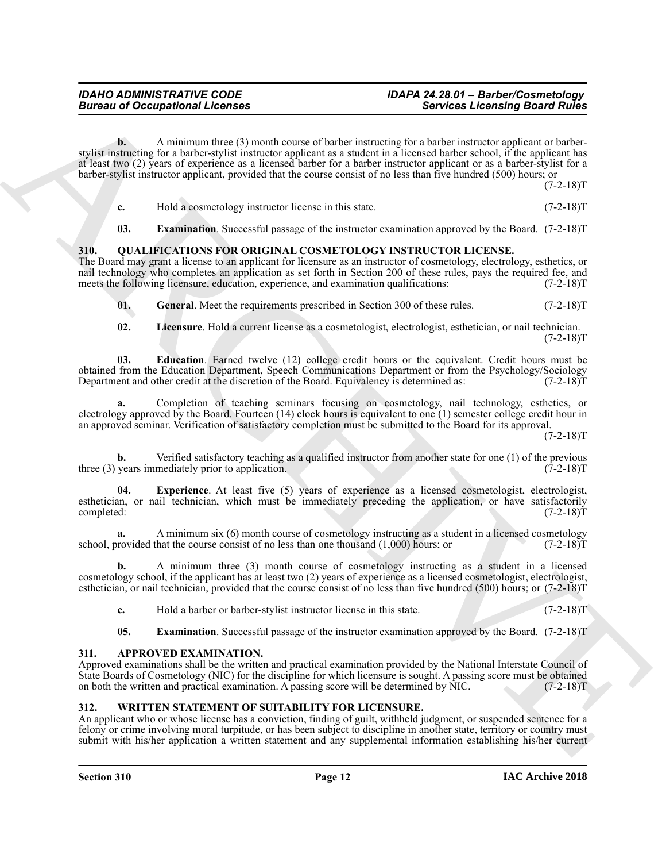Bureau of Occupations I. Leonard (3) metallic variety the state of the bureau of the state of the state of the state of the state of the state of the state of the state of the state of the state of the state of the state **b.** A minimum three (3) month course of barber instructing for a barber instructor applicant or barberstylist instructing for a barber-stylist instructor applicant as a student in a licensed barber school, if the applicant has at least two (2) years of experience as a licensed barber for a barber instructor applicant or as a barber-stylist for a barber-stylist instructor applicant, provided that the course consist of no less than five hundred (500) hours; or  $(7-2-18)T$ 

| c. | Hold a cosmetology instructor license in this state. | $(7-2-18)T$ |
|----|------------------------------------------------------|-------------|

<span id="page-11-5"></span><span id="page-11-4"></span>**03. Examination**. Successful passage of the instructor examination approved by the Board. (7-2-18)T

#### <span id="page-11-0"></span>**310. QUALIFICATIONS FOR ORIGINAL COSMETOLOGY INSTRUCTOR LICENSE.**

The Board may grant a license to an applicant for licensure as an instructor of cosmetology, electrology, esthetics, or nail technology who completes an application as set forth in Section 200 of these rules, pays the required fee, and meets the following licensure, education, experience, and examination qualifications: (7-2-18)T

<span id="page-11-9"></span>**01.** General. Meet the requirements prescribed in Section 300 of these rules. (7-2-18)

<span id="page-11-10"></span><span id="page-11-6"></span>**02. Licensure**. Hold a current license as a cosmetologist, electrologist, esthetician, or nail technician.  $(7-2-18)T$ 

**03. Education**. Earned twelve (12) college credit hours or the equivalent. Credit hours must be obtained from the Education Department, Speech Communications Department or from the Psychology/Sociology Department and other credit at the discretion of the Board. Equivalency is determined as: (7-2-18)T

**a.** Completion of teaching seminars focusing on cosmetology, nail technology, esthetics, or electrology approved by the Board. Fourteen (14) clock hours is equivalent to one (1) semester college credit hour in an approved seminar. Verification of satisfactory completion must be submitted to the Board for its approval.

 $(7-2-18)T$ 

**b.** Verified satisfactory teaching as a qualified instructor from another state for one (1) of the previous years immediately prior to application. (7-2-18) three  $(3)$  years immediately prior to application.

<span id="page-11-8"></span>**04. Experience**. At least five (5) years of experience as a licensed cosmetologist, electrologist, esthetician, or nail technician, which must be immediately preceding the application, or have satisfactorily completed: (7-2-18)T

**a.** A minimum six (6) month course of cosmetology instructing as a student in a licensed cosmetology school, provided that the course consist of no less than one thousand  $(1,000)$  hours; or  $(7-2-18)$ T

**b.** A minimum three (3) month course of cosmetology instructing as a student in a licensed cosmetology school, if the applicant has at least two (2) years of experience as a licensed cosmetologist, electrologist, esthetician, or nail technician, provided that the course consist of no less than five hundred (500) hours; or (7-2-18)T

**c.** Hold a barber or barber-stylist instructor license in this state.  $(7-2-18)$ T

<span id="page-11-7"></span><span id="page-11-3"></span>**05. Examination**. Successful passage of the instructor examination approved by the Board. (7-2-18)T

### <span id="page-11-1"></span>**311. APPROVED EXAMINATION.**

Approved examinations shall be the written and practical examination provided by the National Interstate Council of State Boards of Cosmetology (NIC) for the discipline for which licensure is sought. A passing score must be obtained on both the written and practical examination. A passing score will be determined by NIC. (7-2-18)T

### <span id="page-11-11"></span><span id="page-11-2"></span>**312. WRITTEN STATEMENT OF SUITABILITY FOR LICENSURE.**

An applicant who or whose license has a conviction, finding of guilt, withheld judgment, or suspended sentence for a felony or crime involving moral turpitude, or has been subject to discipline in another state, territory or country must submit with his/her application a written statement and any supplemental information establishing his/her current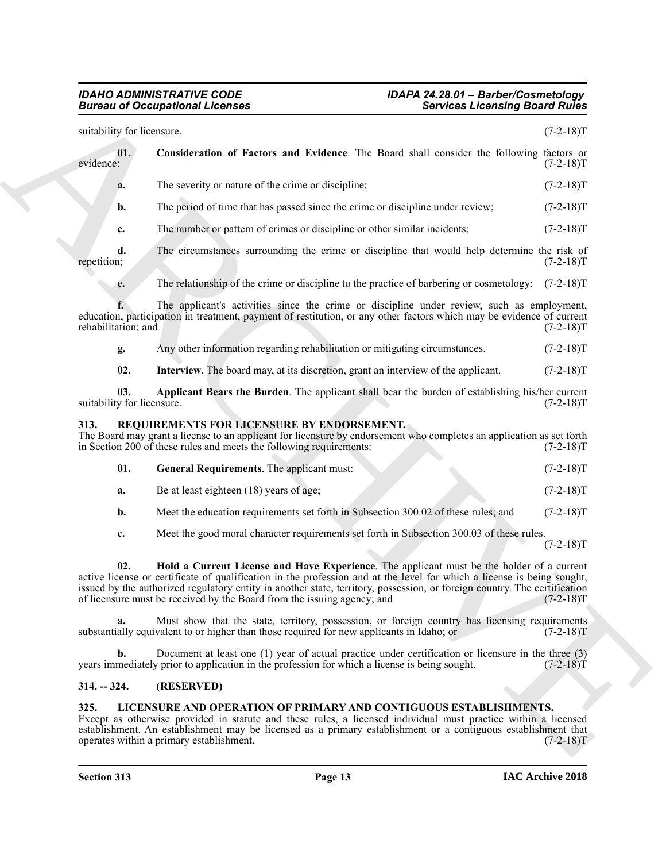# <span id="page-12-9"></span><span id="page-12-8"></span><span id="page-12-7"></span>*IDAHO ADMINISTRATIVE CODE IDAPA 24.28.01 – Barber/Cosmetology*

|                                   | <b>Bureau of Occupational Licenses</b><br><b>Services Licensing Board Rules</b>                                                                                                                                                                                                                                                                                                                                             |             |
|-----------------------------------|-----------------------------------------------------------------------------------------------------------------------------------------------------------------------------------------------------------------------------------------------------------------------------------------------------------------------------------------------------------------------------------------------------------------------------|-------------|
| suitability for licensure.        |                                                                                                                                                                                                                                                                                                                                                                                                                             | $(7-2-18)T$ |
| 01.<br>evidence:                  | Consideration of Factors and Evidence. The Board shall consider the following factors or                                                                                                                                                                                                                                                                                                                                    | $(7-2-18)T$ |
| a.                                | The severity or nature of the crime or discipline;                                                                                                                                                                                                                                                                                                                                                                          | $(7-2-18)T$ |
| b.                                | The period of time that has passed since the crime or discipline under review;                                                                                                                                                                                                                                                                                                                                              | $(7-2-18)T$ |
| c.                                | The number or pattern of crimes or discipline or other similar incidents;                                                                                                                                                                                                                                                                                                                                                   | $(7-2-18)T$ |
| d.<br>repetition;                 | The circumstances surrounding the crime or discipline that would help determine the risk of                                                                                                                                                                                                                                                                                                                                 | $(7-2-18)T$ |
| e.                                | The relationship of the crime or discipline to the practice of barbering or cosmetology; $(7-2-18)$ T                                                                                                                                                                                                                                                                                                                       |             |
| rehabilitation; and               | The applicant's activities since the crime or discipline under review, such as employment,<br>education, participation in treatment, payment of restitution, or any other factors which may be evidence of current                                                                                                                                                                                                          | $(7-2-18)T$ |
| g.                                | Any other information regarding rehabilitation or mitigating circumstances.                                                                                                                                                                                                                                                                                                                                                 | $(7-2-18)T$ |
| 02.                               | Interview. The board may, at its discretion, grant an interview of the applicant.                                                                                                                                                                                                                                                                                                                                           | $(7-2-18)T$ |
| 03.<br>suitability for licensure. | Applicant Bears the Burden. The applicant shall bear the burden of establishing his/her current                                                                                                                                                                                                                                                                                                                             | $(7-2-18)T$ |
| 313.                              | REQUIREMENTS FOR LICENSURE BY ENDORSEMENT.<br>The Board may grant a license to an applicant for licensure by endorsement who completes an application as set forth<br>in Section 200 of these rules and meets the following requirements:                                                                                                                                                                                   | $(7-2-18)T$ |
| 01.                               | <b>General Requirements</b> . The applicant must:                                                                                                                                                                                                                                                                                                                                                                           | $(7-2-18)T$ |
| a.                                | Be at least eighteen (18) years of age;                                                                                                                                                                                                                                                                                                                                                                                     | $(7-2-18)T$ |
| b.                                | Meet the education requirements set forth in Subsection 300.02 of these rules; and                                                                                                                                                                                                                                                                                                                                          | $(7-2-18)T$ |
| c.                                | Meet the good moral character requirements set forth in Subsection 300.03 of these rules.                                                                                                                                                                                                                                                                                                                                   | $(7-2-18)T$ |
| 02.                               | Hold a Current License and Have Experience. The applicant must be the holder of a current<br>active license or certificate of qualification in the profession and at the level for which a license is being sought,<br>issued by the authorized regulatory entity in another state, territory, possession, or foreign country. The certification<br>of licensure must be received by the Board from the issuing agency; and | $(7-2-18)T$ |
| a.                                | Must show that the state, territory, possession, or foreign country has licensing requirements<br>substantially equivalent to or higher than those required for new applicants in Idaho; or                                                                                                                                                                                                                                 | $(7-2-18)T$ |
| b.                                | Document at least one $(1)$ year of actual practice under certification or licensure in the three $(3)$<br>years immediately prior to application in the profession for which a license is being sought.                                                                                                                                                                                                                    | $(7-2-18)T$ |
| $314. - 324.$                     | (RESERVED)                                                                                                                                                                                                                                                                                                                                                                                                                  |             |
| 325.                              | LICENSURE AND OPERATION OF PRIMARY AND CONTIGUOUS ESTABLISHMENTS.<br>Except as otherwise provided in statute and these rules, a licensed individual must practice within a licensed<br>establishment. An establishment may be licensed as a primary establishment or a contiguous establishment that<br>operates within a primary establishment.                                                                            | $(7-2-18)T$ |

### <span id="page-12-6"></span><span id="page-12-5"></span><span id="page-12-4"></span><span id="page-12-1"></span><span id="page-12-0"></span>**314. -- 324. (RESERVED)**

### <span id="page-12-3"></span><span id="page-12-2"></span>**325. LICENSURE AND OPERATION OF PRIMARY AND CONTIGUOUS ESTABLISHMENTS.**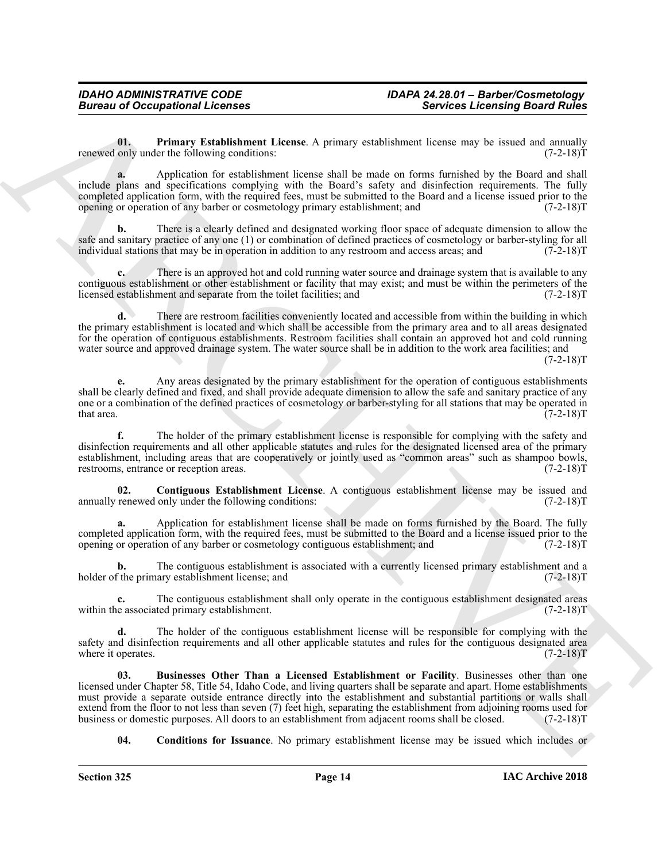<span id="page-13-3"></span>**01. Primary Establishment License**. A primary establishment license may be issued and annually renewed only under the following conditions:  $(7-2-18)$ T

**a.** Application for establishment license shall be made on forms furnished by the Board and shall include plans and specifications complying with the Board's safety and disinfection requirements. The fully completed application form, with the required fees, must be submitted to the Board and a license issued prior to the opening or operation of any barber or cosmetology primary establishment; and (7-2-18)T

**b.** There is a clearly defined and designated working floor space of adequate dimension to allow the safe and sanitary practice of any one (1) or combination of defined practices of cosmetology or barber-styling for all individual stations that may be in operation in addition to any restroom and access areas; and (7-2-18)T

There is an approved hot and cold running water source and drainage system that is available to any contiguous establishment or other establishment or facility that may exist; and must be within the perimeters of the licensed establishment and separate from the toilet facilities; and (7-2-18)T

**d.** There are restroom facilities conveniently located and accessible from within the building in which the primary establishment is located and which shall be accessible from the primary area and to all areas designated for the operation of contiguous establishments. Restroom facilities shall contain an approved hot and cold running water source and approved drainage system. The water source shall be in addition to the work area facilities; and  $(7-2-18)T$ 

**e.** Any areas designated by the primary establishment for the operation of contiguous establishments shall be clearly defined and fixed, and shall provide adequate dimension to allow the safe and sanitary practice of any one or a combination of the defined practices of cosmetology or barber-styling for all stations that may be operated in that area.  $(7-2-18)T$ 

**f.** The holder of the primary establishment license is responsible for complying with the safety and disinfection requirements and all other applicable statutes and rules for the designated licensed area of the primary establishment, including areas that are cooperatively or jointly used as "common areas" such as shampoo bowls, restrooms, entrance or reception areas. (7-2-18) restrooms, entrance or reception areas.

<span id="page-13-2"></span>**02.** Contiguous Establishment License. A contiguous establishment license may be issued and renewed only under the following conditions: (7-2-18)<sup>T</sup> annually renewed only under the following conditions:

**a.** Application for establishment license shall be made on forms furnished by the Board. The fully completed application form, with the required fees, must be submitted to the Board and a license issued prior to the opening or operation of any barber or cosmetology contiguous establishment; and (7-2-18)T

**b.** The contiguous establishment is associated with a currently licensed primary establishment and a holder of the primary establishment license; and (7-2-18)T

**c.** The contiguous establishment shall only operate in the contiguous establishment designated areas within the associated primary establishment. (7-2-18)T

<span id="page-13-0"></span>**d.** The holder of the contiguous establishment license will be responsible for complying with the safety and disinfection requirements and all other applicable statutes and rules for the contiguous designated area where it operates. (7-2-18)T

Borrico of Occupations I. Leonko Constant Licence. A primary condition licence may be issued and mandate.<br>
The main state of the constant licence of the main state of the constant licence may be issued and many constant t **03. Businesses Other Than a Licensed Establishment or Facility**. Businesses other than one licensed under Chapter 58, Title 54, Idaho Code, and living quarters shall be separate and apart. Home establishments must provide a separate outside entrance directly into the establishment and substantial partitions or walls shall extend from the floor to not less than seven (7) feet high, separating the establishment from adjoining rooms used for business or domestic purposes. All doors to an establishment from adjacent rooms shall be closed. (7-2business or domestic purposes. All doors to an establishment from adjacent rooms shall be closed.

<span id="page-13-1"></span>**04. Conditions for Issuance**. No primary establishment license may be issued which includes or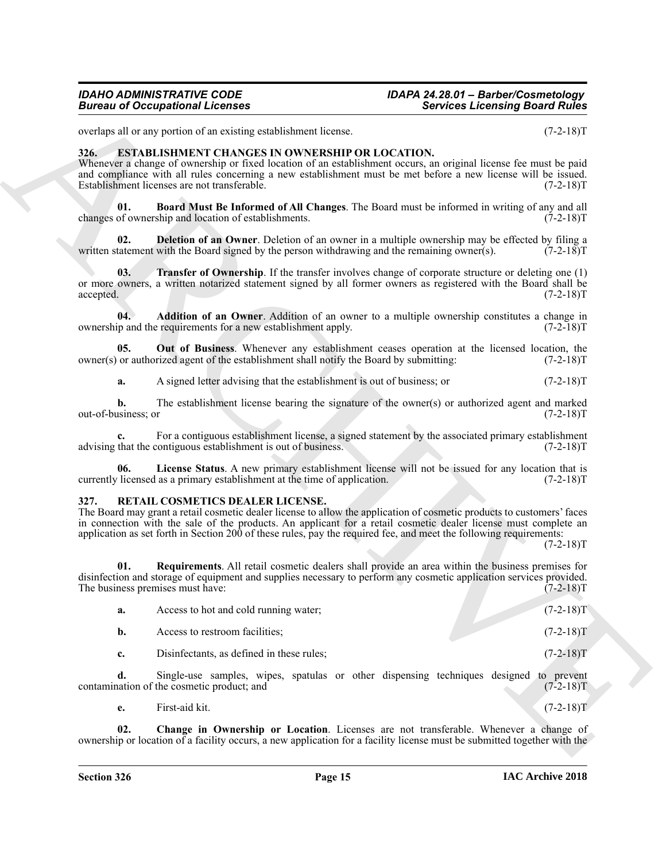# *IDAHO ADMINISTRATIVE CODE IDAPA 24.28.01 – Barber/Cosmetology*

### <span id="page-14-8"></span><span id="page-14-5"></span><span id="page-14-4"></span><span id="page-14-3"></span><span id="page-14-2"></span><span id="page-14-0"></span>**326. ESTABLISHMENT CHANGES IN OWNERSHIP OR LOCATION.**

#### <span id="page-14-11"></span><span id="page-14-10"></span><span id="page-14-9"></span><span id="page-14-7"></span><span id="page-14-6"></span><span id="page-14-1"></span>**327. RETAIL COSMETICS DEALER LICENSE.**

|                           | <b>Bureau of Occupational Licenses</b>                                                                                                                 | <b>Services Licensing Board Rules</b>                                                                                                                                                                                                                    |
|---------------------------|--------------------------------------------------------------------------------------------------------------------------------------------------------|----------------------------------------------------------------------------------------------------------------------------------------------------------------------------------------------------------------------------------------------------------|
|                           | overlaps all or any portion of an existing establishment license.                                                                                      | $(7-2-18)T$                                                                                                                                                                                                                                              |
| 326.                      | ESTABLISHMENT CHANGES IN OWNERSHIP OR LOCATION.<br>Establishment licenses are not transferable.                                                        | Whenever a change of ownership or fixed location of an establishment occurs, an original license fee must be paid<br>and compliance with all rules concerning a new establishment must be met before a new license will be issued.<br>$(7-2-18)T$        |
| 01.                       | changes of ownership and location of establishments.                                                                                                   | Board Must Be Informed of All Changes. The Board must be informed in writing of any and all<br>$(7-2-18)T$                                                                                                                                               |
| 02.                       | written statement with the Board signed by the person withdrawing and the remaining owner(s).                                                          | <b>Deletion of an Owner</b> . Deletion of an owner in a multiple ownership may be effected by filing a<br>$(7-2-18)T$                                                                                                                                    |
| 03.<br>accepted.          |                                                                                                                                                        | <b>Transfer of Ownership.</b> If the transfer involves change of corporate structure or deleting one (1)<br>or more owners, a written notarized statement signed by all former owners as registered with the Board shall be<br>$(7-2-18)T$               |
| 04.                       | ownership and the requirements for a new establishment apply.                                                                                          | Addition of an Owner. Addition of an owner to a multiple ownership constitutes a change in<br>$(7-2-18)T$                                                                                                                                                |
| 05.                       | owner(s) or authorized agent of the establishment shall notify the Board by submitting:                                                                | Out of Business. Whenever any establishment ceases operation at the licensed location, the<br>$(7-2-18)T$                                                                                                                                                |
| a.                        | A signed letter advising that the establishment is out of business; or                                                                                 | $(7-2-18)T$                                                                                                                                                                                                                                              |
| b.<br>out-of-business; or |                                                                                                                                                        | The establishment license bearing the signature of the owner(s) or authorized agent and marked<br>$(7-2-18)T$                                                                                                                                            |
| c.                        | advising that the contiguous establishment is out of business.                                                                                         | For a contiguous establishment license, a signed statement by the associated primary establishment<br>$(7-2-18)T$                                                                                                                                        |
| 06.                       | currently licensed as a primary establishment at the time of application.                                                                              | License Status. A new primary establishment license will not be issued for any location that is<br>$(7-2-18)T$                                                                                                                                           |
| 327.                      | RETAIL COSMETICS DEALER LICENSE.<br>application as set forth in Section 200 of these rules, pay the required fee, and meet the following requirements: | The Board may grant a retail cosmetic dealer license to allow the application of cosmetic products to customers' faces<br>in connection with the sale of the products. An applicant for a retail cosmetic dealer license must complete an<br>$(7-2-18)T$ |
| 01.                       | The business premises must have:                                                                                                                       | Requirements. All retail cosmetic dealers shall provide an area within the business premises for<br>disinfection and storage of equipment and supplies necessary to perform any cosmetic application services provided.<br>$(7-2-18)T$                   |
| a.                        | Access to hot and cold running water;                                                                                                                  | $(7-2-18)T$                                                                                                                                                                                                                                              |
| b.                        | Access to restroom facilities;                                                                                                                         | $(7-2-18)T$                                                                                                                                                                                                                                              |
| c.                        | Disinfectants, as defined in these rules;                                                                                                              | $(7-2-18)T$                                                                                                                                                                                                                                              |
| d.                        | contamination of the cosmetic product; and                                                                                                             | Single-use samples, wipes, spatulas or other dispensing techniques designed to prevent<br>$(7-2-18)T$                                                                                                                                                    |
| e.                        | First-aid kit.                                                                                                                                         | $(7-2-18)T$                                                                                                                                                                                                                                              |
| 02.                       |                                                                                                                                                        | Change in Ownership or Location. Licenses are not transferable. Whenever a change of<br>ownership or location of a facility occurs, a new application for a facility license must be submitted together with the                                         |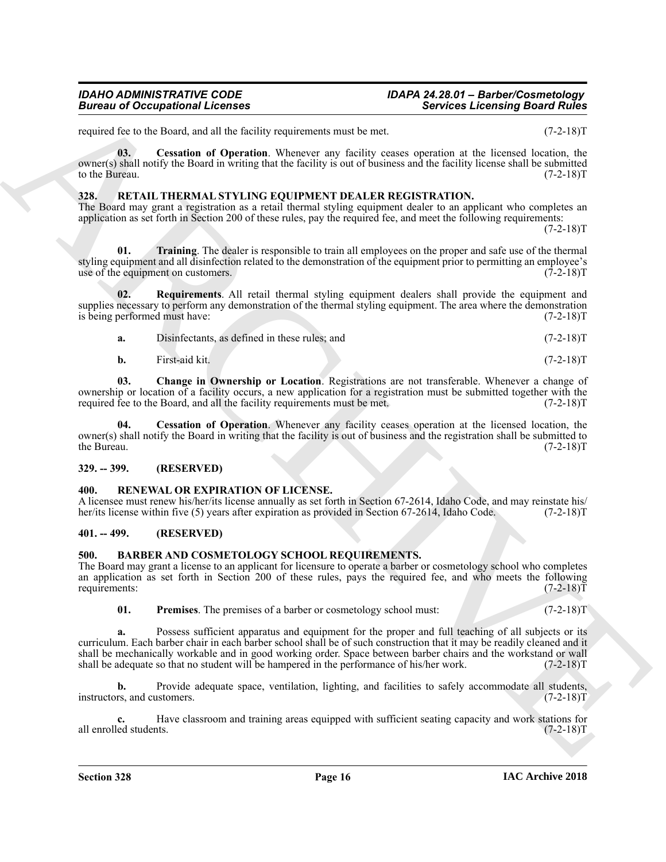required fee to the Board, and all the facility requirements must be met. (7-2-18)T

<span id="page-15-8"></span>**03. Cessation of Operation**. Whenever any facility ceases operation at the licensed location, the owner(s) shall notify the Board in writing that the facility is out of business and the facility license shall be submitted to the Bureau. (7-2-18)T

### <span id="page-15-9"></span><span id="page-15-0"></span>**328. RETAIL THERMAL STYLING EQUIPMENT DEALER REGISTRATION.**

The Board may grant a registration as a retail thermal styling equipment dealer to an applicant who completes an application as set forth in Section 200 of these rules, pay the required fee, and meet the following requirements:  $(7-2-18)T$ 

<span id="page-15-13"></span>**01. Training**. The dealer is responsible to train all employees on the proper and safe use of the thermal styling equipment and all disinfection related to the demonstration of the equipment prior to permitting an employee's use of the equipment on customers.  $(7-2-18)T$ 

**02. Requirements**. All retail thermal styling equipment dealers shall provide the equipment and supplies necessary to perform any demonstration of the thermal styling equipment. The area where the demonstration is being performed must have: (7-2-18)T

<span id="page-15-12"></span><span id="page-15-11"></span>

| а. | Disinfectants, as defined in these rules; and | $(7-2-18)T$ |
|----|-----------------------------------------------|-------------|
|    | First-aid kit.                                | $(7-2-18)T$ |

**03. Change in Ownership or Location**. Registrations are not transferable. Whenever a change of ownership or location of a facility occurs, a new application for a registration must be submitted together with the required fee to the Board, and all the facility requirements must be met. (7-2-18)T

<span id="page-15-10"></span>**04. Cessation of Operation**. Whenever any facility ceases operation at the licensed location, the owner(s) shall notify the Board in writing that the facility is out of business and the registration shall be submitted to the Bureau.  $(7-2-18)T$ 

#### <span id="page-15-1"></span>**329. -- 399. (RESERVED)**

### <span id="page-15-7"></span><span id="page-15-2"></span>**400. RENEWAL OR EXPIRATION OF LICENSE.**

A licensee must renew his/her/its license annually as set forth in Section 67-2614, Idaho Code, and may reinstate his/ her/its license within five (5) years after expiration as provided in Section 67-2614, Idaho Code. (7-2-18)T

#### <span id="page-15-3"></span>**401. -- 499. (RESERVED)**

### <span id="page-15-5"></span><span id="page-15-4"></span>**500. BARBER AND COSMETOLOGY SCHOOL REQUIREMENTS.**

The Board may grant a license to an applicant for licensure to operate a barber or cosmetology school who completes an application as set forth in Section 200 of these rules, pays the required fee, and who meets the following requirements: (7-2-18)T

<span id="page-15-6"></span>**01. Premises**. The premises of a barber or cosmetology school must: (7-2-18)T

Borrela of Occupations I Leonards<br>
Newton Leonards Results and the studies requirements and be noted that the properties of the studies of the studies of the studies of the studies of the studies of the studies of the stu Possess sufficient apparatus and equipment for the proper and full teaching of all subjects or its curriculum. Each barber chair in each barber school shall be of such construction that it may be readily cleaned and it shall be mechanically workable and in good working order. Space between barber chairs and the workstand or wall shall be adequate so that no student will be hampered in the performance of his/her work. (7-2-18)T shall be adequate so that no student will be hampered in the performance of his/her work.

**b.** Provide adequate space, ventilation, lighting, and facilities to safely accommodate all students, instructors, and customers. (7-2-18)T

**c.** Have classroom and training areas equipped with sufficient seating capacity and work stations for led students. (7-2-18) all enrolled students.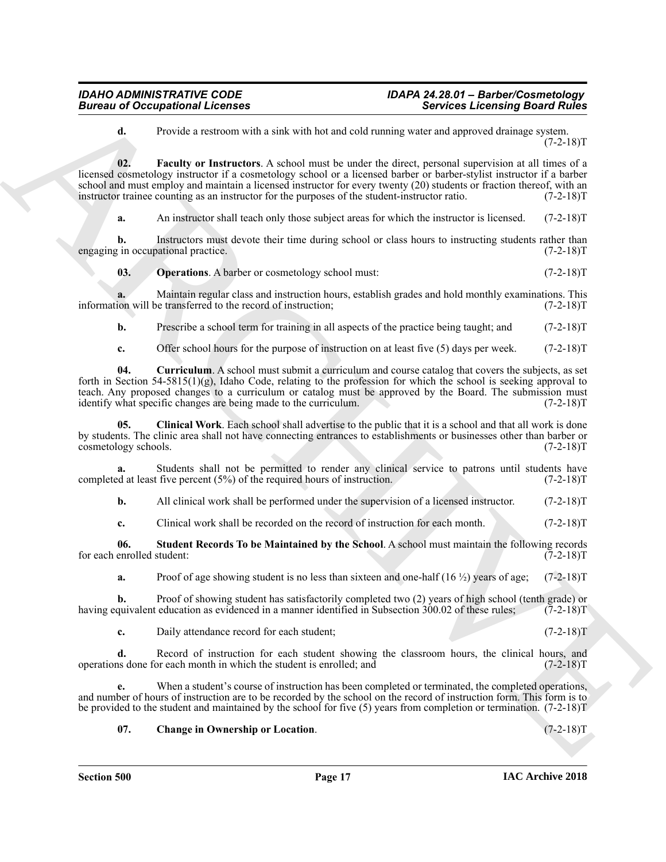<span id="page-16-3"></span>**d.** Provide a restroom with a sink with hot and cold running water and approved drainage system.  $(7-2-18)T$ 

Bureau of Occupations I Leonards<br>
The value of the state with solid by material section in Sevices Leonards Based Sinks<br>
Leonard Control and The Control and The Control and The Control and The Control and The Control and **02. Faculty or Instructors**. A school must be under the direct, personal supervision at all times of a licensed cosmetology instructor if a cosmetology school or a licensed barber or barber-stylist instructor if a barber school and must employ and maintain a licensed instructor for every twenty (20) students or fraction thereof, with an instructor trainee counting as an instructor for the purposes of the student-instructor ratio. (7-2-18) instructor trainee counting as an instructor for the purposes of the student-instructor ratio.

**a.** An instructor shall teach only those subject areas for which the instructor is licensed. (7-2-18)T

**b.** Instructors must devote their time during school or class hours to instructing students rather than engaging in occupational practice. (7-2-18)T

<span id="page-16-4"></span>**03.** Operations. A barber or cosmetology school must:  $(7-2-18)$ T

**a.** Maintain regular class and instruction hours, establish grades and hold monthly examinations. This ion will be transferred to the record of instruction; (7-2-18) information will be transferred to the record of instruction;

**b.** Prescribe a school term for training in all aspects of the practice being taught; and  $(7-2-18)$ T

<span id="page-16-2"></span><span id="page-16-1"></span>**c.** Offer school hours for the purpose of instruction on at least five (5) days per week. (7-2-18)T

**04. Curriculum**. A school must submit a curriculum and course catalog that covers the subjects, as set forth in Section 54-5815(1)(g), Idaho Code, relating to the profession for which the school is seeking approval to teach. Any proposed changes to a curriculum or catalog must be approved by the Board. The submission must<br>identify what specific changes are being made to the curriculum. (7-2-18) identify what specific changes are being made to the curriculum.

**05. Clinical Work**. Each school shall advertise to the public that it is a school and that all work is done by students. The clinic area shall not have connecting entrances to establishments or businesses other than barber or cosmetology schools. (7-2-18)T

**a.** Students shall not be permitted to render any clinical service to patrons until students have completed at least five percent (5%) of the required hours of instruction. (7-2-18)T

**b.** All clinical work shall be performed under the supervision of a licensed instructor. (7-2-18)T

<span id="page-16-5"></span>**c.** Clinical work shall be recorded on the record of instruction for each month. (7-2-18)T

**06.** Student Records To be Maintained by the School. A school must maintain the following records enrolled student: (7-2-18) for each enrolled student:

**a.** Proof of age showing student is no less than sixteen and one-half (16  $\frac{1}{2}$ ) years of age; (7-2-18)T

**b.** Proof of showing student has satisfactorily completed two (2) years of high school (tenth grade) or quivalent education as evidenced in a manner identified in Subsection 300.02 of these rules; (7-2-18)T having equivalent education as evidenced in a manner identified in Subsection 300.02 of these rules;

**c.** Daily attendance record for each student; (7-2-18)T

**d.** Record of instruction for each student showing the classroom hours, the clinical hours, and is done for each month in which the student is enrolled; and (7-2-18)<sup>T</sup> operations done for each month in which the student is enrolled; and

**e.** When a student's course of instruction has been completed or terminated, the completed operations, and number of hours of instruction are to be recorded by the school on the record of instruction form. This form is to be provided to the student and maintained by the school for five (5) years from completion or termination. (7-2-18)T

#### <span id="page-16-0"></span>**07. Change in Ownership or Location**. (7-2-18)T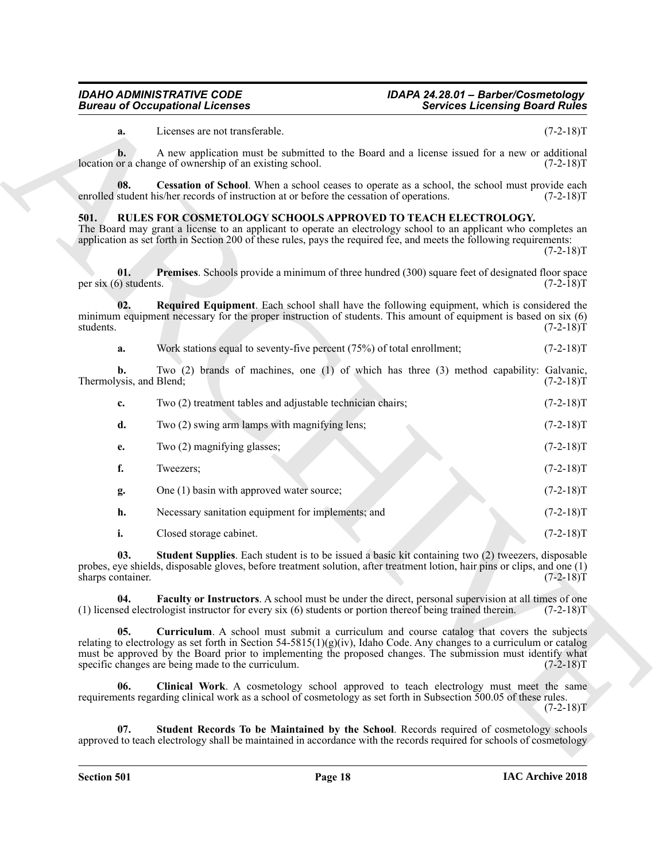#### <span id="page-17-6"></span><span id="page-17-2"></span><span id="page-17-1"></span><span id="page-17-0"></span>**501. RULES FOR COSMETOLOGY SCHOOLS APPROVED TO TEACH ELECTROLOGY.**

<span id="page-17-9"></span><span id="page-17-8"></span><span id="page-17-7"></span><span id="page-17-5"></span><span id="page-17-4"></span><span id="page-17-3"></span>

|    |  | Work stations equal to seventy-five percent (75%) of total enrollment; | $(7-2-18)T$ |  |
|----|--|------------------------------------------------------------------------|-------------|--|
| a. |  |                                                                        |             |  |

| <b>Bureau of Occupational Licenses</b>                                                                                                                                                                                                             |                                                                                                                                                                                                                                                                                                                                                                                         | <b>Services Licensing Board Rules</b>                                                   |  |  |
|----------------------------------------------------------------------------------------------------------------------------------------------------------------------------------------------------------------------------------------------------|-----------------------------------------------------------------------------------------------------------------------------------------------------------------------------------------------------------------------------------------------------------------------------------------------------------------------------------------------------------------------------------------|-----------------------------------------------------------------------------------------|--|--|
| a.                                                                                                                                                                                                                                                 | Licenses are not transferable.                                                                                                                                                                                                                                                                                                                                                          | $(7-2-18)T$                                                                             |  |  |
| b.                                                                                                                                                                                                                                                 | A new application must be submitted to the Board and a license issued for a new or additional<br>location or a change of ownership of an existing school.                                                                                                                                                                                                                               | $(7-2-18)T$                                                                             |  |  |
| 08.                                                                                                                                                                                                                                                | Cessation of School. When a school ceases to operate as a school, the school must provide each<br>enrolled student his/her records of instruction at or before the cessation of operations.                                                                                                                                                                                             | $(7-2-18)T$                                                                             |  |  |
| 501.                                                                                                                                                                                                                                               | RULES FOR COSMETOLOGY SCHOOLS APPROVED TO TEACH ELECTROLOGY.<br>The Board may grant a license to an applicant to operate an electrology school to an applicant who completes an<br>application as set forth in Section 200 of these rules, pays the required fee, and meets the following requirements:                                                                                 | $(7-2-18)T$                                                                             |  |  |
| 01.<br>per six $(6)$ students.                                                                                                                                                                                                                     | Premises. Schools provide a minimum of three hundred (300) square feet of designated floor space                                                                                                                                                                                                                                                                                        | $(7-2-18)T$                                                                             |  |  |
| 02.<br>students.                                                                                                                                                                                                                                   | <b>Required Equipment.</b> Each school shall have the following equipment, which is considered the<br>minimum equipment necessary for the proper instruction of students. This amount of equipment is based on six (6)                                                                                                                                                                  | $(7-2-18)T$                                                                             |  |  |
| a.                                                                                                                                                                                                                                                 | Work stations equal to seventy-five percent (75%) of total enrollment;                                                                                                                                                                                                                                                                                                                  | $(7-2-18)T$                                                                             |  |  |
| b.<br>Thermolysis, and Blend;                                                                                                                                                                                                                      | Two (2) brands of machines, one (1) of which has three (3) method capability: Galvanic,                                                                                                                                                                                                                                                                                                 | $(7-2-18)T$                                                                             |  |  |
| c.                                                                                                                                                                                                                                                 | Two (2) treatment tables and adjustable technician chairs;                                                                                                                                                                                                                                                                                                                              | $(7-2-18)T$                                                                             |  |  |
| d.                                                                                                                                                                                                                                                 | Two (2) swing arm lamps with magnifying lens;                                                                                                                                                                                                                                                                                                                                           | $(7-2-18)T$                                                                             |  |  |
| е.                                                                                                                                                                                                                                                 | Two (2) magnifying glasses;                                                                                                                                                                                                                                                                                                                                                             | $(7-2-18)T$                                                                             |  |  |
| f.                                                                                                                                                                                                                                                 | Tweezers;                                                                                                                                                                                                                                                                                                                                                                               | $(7-2-18)T$                                                                             |  |  |
| g.                                                                                                                                                                                                                                                 | One (1) basin with approved water source;                                                                                                                                                                                                                                                                                                                                               | $(7-2-18)T$                                                                             |  |  |
| h.                                                                                                                                                                                                                                                 | Necessary sanitation equipment for implements; and                                                                                                                                                                                                                                                                                                                                      | $(7-2-18)T$                                                                             |  |  |
| i.                                                                                                                                                                                                                                                 | Closed storage cabinet.                                                                                                                                                                                                                                                                                                                                                                 | $(7-2-18)T$                                                                             |  |  |
| 03.<br>sharps container.                                                                                                                                                                                                                           | <b>Student Supplies.</b> Each student is to be issued a basic kit containing two (2) tweezers, disposable<br>probes, eye shields, disposable gloves, before treatment solution, after treatment lotion, hair pins or clips, and one (1)                                                                                                                                                 | $(7-2-18)T$                                                                             |  |  |
| 04.<br><b>Faculty or Instructors.</b> A school must be under the direct, personal supervision at all times of one<br>$(1)$ licensed electrologist instructor for every six $(6)$ students or portion thereof being trained therein.<br>$(7-2-18)T$ |                                                                                                                                                                                                                                                                                                                                                                                         |                                                                                         |  |  |
| 05.                                                                                                                                                                                                                                                | Curriculum. A school must submit a curriculum and course catalog that covers the subjects<br>relating to electrology as set forth in Section 54-5815(1)(g)(iv), Idaho Code. Any changes to a curriculum or catalog<br>must be approved by the Board prior to implementing the proposed changes. The submission must identify what<br>specific changes are being made to the curriculum. | $(7-2-18)T$                                                                             |  |  |
| 06.                                                                                                                                                                                                                                                | Clinical Work. A cosmetology school approved to teach electrology must meet the same<br>requirements regarding clinical work as a school of cosmetology as set forth in Subsection 500.05 of these rules.                                                                                                                                                                               | $(7-2-18)T$                                                                             |  |  |
| 07.                                                                                                                                                                                                                                                |                                                                                                                                                                                                                                                                                                                                                                                         | Student Records To be Maintained by the School. Records required of cosmetology schools |  |  |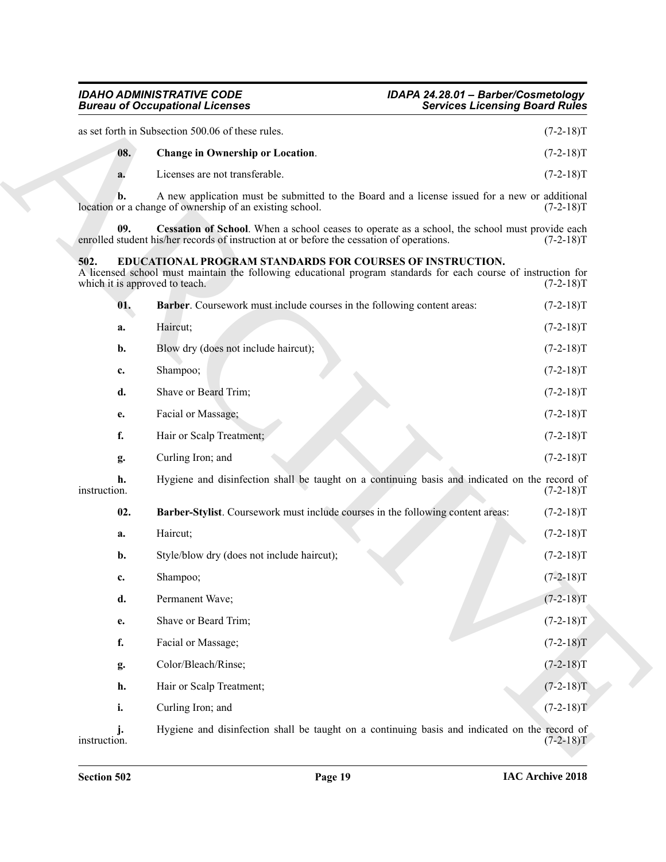### *IDAHO ADMINISTRATIVE CODE IDAPA 24.28.01 – Barber/Cosmetology Bureau of Occupational Licenses Services Licensing Board Rules*

<span id="page-18-5"></span>

|     | as set forth in Subsection 500.06 of these rules.                                                                                                         | $(7-2-18)T$ |
|-----|-----------------------------------------------------------------------------------------------------------------------------------------------------------|-------------|
| 08. | <b>Change in Ownership or Location.</b>                                                                                                                   | $(7-2-18)T$ |
|     | Licenses are not transferable.                                                                                                                            | $(7-2-18)T$ |
|     | A new application must be submitted to the Board and a license issued for a new or additional<br>location or a change of ownership of an existing school. | $(7-2-18)T$ |

### <span id="page-18-4"></span><span id="page-18-3"></span><span id="page-18-2"></span><span id="page-18-1"></span><span id="page-18-0"></span>**502. EDUCATIONAL PROGRAM STANDARDS FOR COURSES OF INSTRUCTION.**

|                    | <b>Bureau of Occupational Licenses</b>                                                                                                                                                                        | <b>Services Licensing Board Rules</b>                                                         |             |
|--------------------|---------------------------------------------------------------------------------------------------------------------------------------------------------------------------------------------------------------|-----------------------------------------------------------------------------------------------|-------------|
|                    | as set forth in Subsection 500.06 of these rules.                                                                                                                                                             |                                                                                               | $(7-2-18)T$ |
| 08.                | <b>Change in Ownership or Location.</b>                                                                                                                                                                       |                                                                                               | $(7-2-18)T$ |
| a.                 | Licenses are not transferable.                                                                                                                                                                                |                                                                                               | $(7-2-18)T$ |
| b.                 | A new application must be submitted to the Board and a license issued for a new or additional<br>location or a change of ownership of an existing school.                                                     |                                                                                               | $(7-2-18)T$ |
| 09.                | Cessation of School. When a school ceases to operate as a school, the school must provide each<br>enrolled student his/her records of instruction at or before the cessation of operations.                   |                                                                                               | $(7-2-18)T$ |
| 502.               | EDUCATIONAL PROGRAM STANDARDS FOR COURSES OF INSTRUCTION.<br>A licensed school must maintain the following educational program standards for each course of instruction for<br>which it is approved to teach. |                                                                                               | $(7-2-18)T$ |
| 01.                | Barber. Coursework must include courses in the following content areas:                                                                                                                                       |                                                                                               | $(7-2-18)T$ |
| a.                 | Haircut;                                                                                                                                                                                                      |                                                                                               | $(7-2-18)T$ |
| b.                 | Blow dry (does not include haircut);                                                                                                                                                                          |                                                                                               | $(7-2-18)T$ |
| c.                 | Shampoo;                                                                                                                                                                                                      |                                                                                               | $(7-2-18)T$ |
| d.                 | Shave or Beard Trim;                                                                                                                                                                                          |                                                                                               | $(7-2-18)T$ |
| e.                 | Facial or Massage;                                                                                                                                                                                            |                                                                                               | $(7-2-18)T$ |
| f.                 | Hair or Scalp Treatment;                                                                                                                                                                                      |                                                                                               | $(7-2-18)T$ |
| g.                 | Curling Iron; and                                                                                                                                                                                             |                                                                                               | $(7-2-18)T$ |
| h.<br>instruction. | Hygiene and disinfection shall be taught on a continuing basis and indicated on the record of                                                                                                                 |                                                                                               | $(7-2-18)T$ |
| 02.                | Barber-Stylist. Coursework must include courses in the following content areas:                                                                                                                               |                                                                                               | $(7-2-18)T$ |
| a.                 | Haircut;                                                                                                                                                                                                      |                                                                                               | $(7-2-18)T$ |
| b.                 | Style/blow dry (does not include haircut);                                                                                                                                                                    |                                                                                               | $(7-2-18)T$ |
| c.                 | Shampoo;                                                                                                                                                                                                      |                                                                                               | $(7-2-18)T$ |
| d.                 | Permanent Wave;                                                                                                                                                                                               |                                                                                               | $(7-2-18)T$ |
| e.                 | Shave or Beard Trim;                                                                                                                                                                                          |                                                                                               | $(7-2-18)T$ |
| f.                 | Facial or Massage;                                                                                                                                                                                            |                                                                                               | $(7-2-18)T$ |
| g.                 | Color/Bleach/Rinse;                                                                                                                                                                                           |                                                                                               | $(7-2-18)T$ |
| h.                 | Hair or Scalp Treatment;                                                                                                                                                                                      |                                                                                               | $(7-2-18)T$ |
| i.                 | Curling Iron; and                                                                                                                                                                                             |                                                                                               | $(7-2-18)T$ |
|                    |                                                                                                                                                                                                               | Hygiene and disinfection shall be taught on a continuing basis and indicated on the record of |             |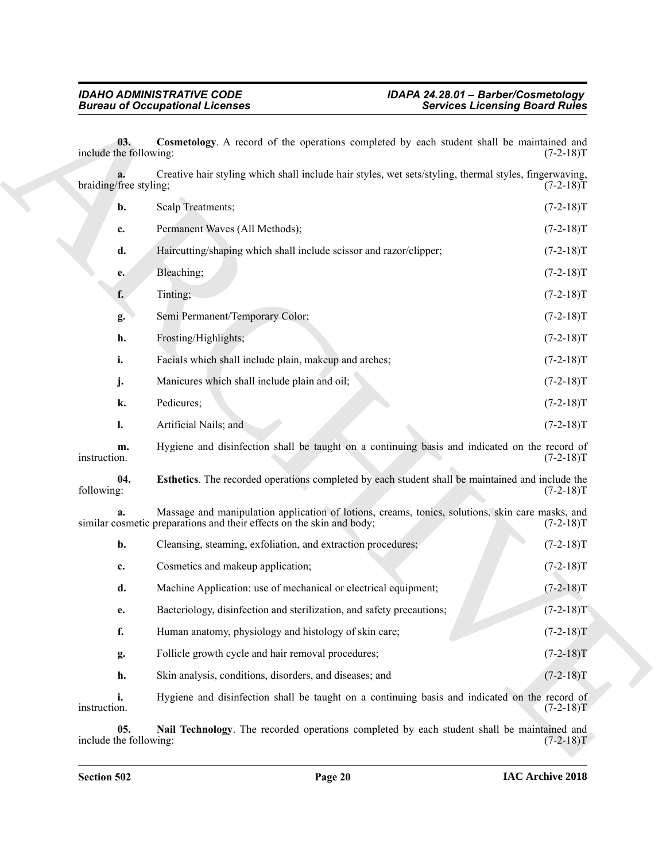<span id="page-19-2"></span><span id="page-19-1"></span><span id="page-19-0"></span>

|                               | <b>Bureau of Occupational Licenses</b>                                                                                                                                    | <b>Services Licensing Board Rules</b> |
|-------------------------------|---------------------------------------------------------------------------------------------------------------------------------------------------------------------------|---------------------------------------|
| 03.<br>include the following: | Cosmetology. A record of the operations completed by each student shall be maintained and                                                                                 | $(7-2-18)T$                           |
| braiding/free styling;        | Creative hair styling which shall include hair styles, wet sets/styling, thermal styles, fingerwaving,                                                                    | $(7-2-18)T$                           |
| b.                            | <b>Scalp Treatments;</b>                                                                                                                                                  | $(7-2-18)T$                           |
| c.                            | Permanent Waves (All Methods);                                                                                                                                            | $(7-2-18)T$                           |
| d.                            | Haircutting/shaping which shall include scissor and razor/clipper;                                                                                                        | $(7-2-18)T$                           |
| e.                            | Bleaching;                                                                                                                                                                | $(7-2-18)T$                           |
| f.                            | Tinting;                                                                                                                                                                  | $(7-2-18)T$                           |
| g.                            | Semi Permanent/Temporary Color;                                                                                                                                           | $(7-2-18)T$                           |
| h.                            | Frosting/Highlights;                                                                                                                                                      | $(7-2-18)T$                           |
| i.                            | Facials which shall include plain, makeup and arches;                                                                                                                     | $(7-2-18)T$                           |
| j.                            | Manicures which shall include plain and oil;                                                                                                                              | $(7-2-18)T$                           |
| k.                            | Pedicures;                                                                                                                                                                | $(7-2-18)T$                           |
| 1.                            | Artificial Nails; and                                                                                                                                                     | $(7-2-18)T$                           |
| m.<br>instruction.            | Hygiene and disinfection shall be taught on a continuing basis and indicated on the record of                                                                             | $(7-2-18)T$                           |
| 04.<br>following:             | Esthetics. The recorded operations completed by each student shall be maintained and include the                                                                          | $(7-2-18)T$                           |
|                               | Massage and manipulation application of lotions, creams, tonics, solutions, skin care masks, and<br>similar cosmetic preparations and their effects on the skin and body; | $(7-2-18)T$                           |
| b.                            | Cleansing, steaming, exfoliation, and extraction procedures;                                                                                                              | $(7-2-18)T$                           |
| c.                            | Cosmetics and makeup application;                                                                                                                                         | $(7-2-18)T$                           |
| d.                            | Machine Application: use of mechanical or electrical equipment;                                                                                                           | $(7-2-18)T$                           |
| e.                            | Bacteriology, disinfection and sterilization, and safety precautions;                                                                                                     | $(7-2-18)T$                           |
| f.                            | Human anatomy, physiology and histology of skin care;                                                                                                                     | $(7-2-18)T$                           |
| g.                            | Follicle growth cycle and hair removal procedures;                                                                                                                        | $(7-2-18)T$                           |
| h.                            | Skin analysis, conditions, disorders, and diseases; and                                                                                                                   | $(7-2-18)T$                           |
| i.<br>instruction.            | Hygiene and disinfection shall be taught on a continuing basis and indicated on the record of                                                                             | $(7-2-18)T$                           |
| 05.<br>include the following: | Nail Technology. The recorded operations completed by each student shall be maintained and                                                                                | $(7-2-18)T$                           |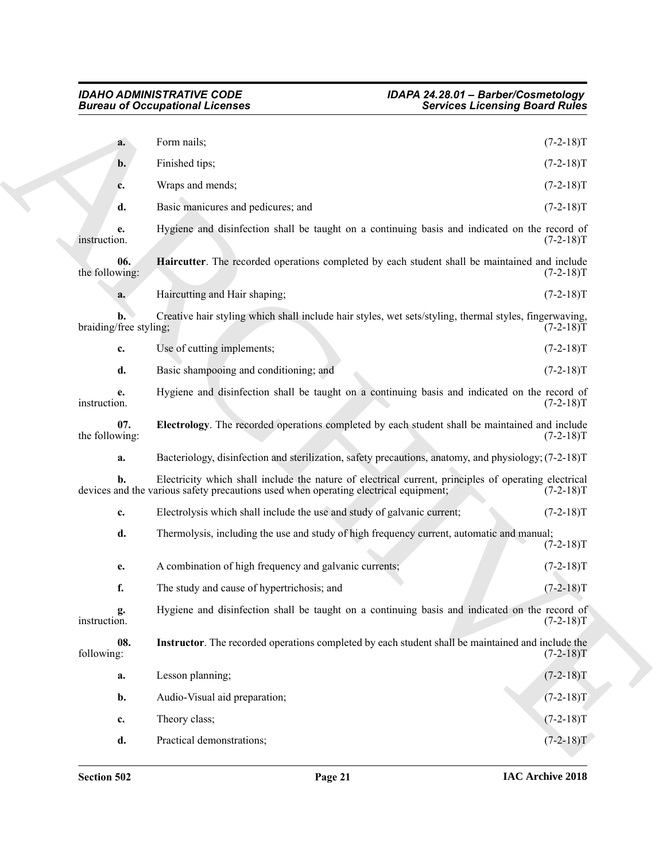<span id="page-20-2"></span><span id="page-20-1"></span><span id="page-20-0"></span>

|                              | <b>Bureau of Occupational Licenses</b>                                                                                                                                                       | <b>Services Licensing Board Rules</b> |
|------------------------------|----------------------------------------------------------------------------------------------------------------------------------------------------------------------------------------------|---------------------------------------|
| a.                           | Form nails;                                                                                                                                                                                  | $(7-2-18)T$                           |
| b.                           | Finished tips;                                                                                                                                                                               | $(7-2-18)T$                           |
| c.                           | Wraps and mends;                                                                                                                                                                             | $(7-2-18)T$                           |
| d.                           | Basic manicures and pedicures; and                                                                                                                                                           | $(7-2-18)T$                           |
| e.<br>instruction.           | Hygiene and disinfection shall be taught on a continuing basis and indicated on the record of                                                                                                | $(7-2-18)T$                           |
| 06.<br>the following:        | Haircutter. The recorded operations completed by each student shall be maintained and include                                                                                                | $(7-2-18)T$                           |
| a.                           | Haircutting and Hair shaping;                                                                                                                                                                | $(7-2-18)T$                           |
| h.<br>braiding/free styling; | Creative hair styling which shall include hair styles, wet sets/styling, thermal styles, fingerwaving,                                                                                       | $(7-2-18)T$                           |
| c.                           | Use of cutting implements;                                                                                                                                                                   | $(7-2-18)T$                           |
| d.                           | Basic shampooing and conditioning; and                                                                                                                                                       | $(7-2-18)T$                           |
| e.<br>instruction.           | Hygiene and disinfection shall be taught on a continuing basis and indicated on the record of                                                                                                | $(7-2-18)T$                           |
| 07.<br>the following:        | Electrology. The recorded operations completed by each student shall be maintained and include                                                                                               | $(7-2-18)T$                           |
| a.                           | Bacteriology, disinfection and sterilization, safety precautions, anatomy, and physiology; (7-2-18)T                                                                                         |                                       |
| b.                           | Electricity which shall include the nature of electrical current, principles of operating electrical<br>devices and the various safety precautions used when operating electrical equipment; | $(7-2-18)T$                           |
| c.                           | Electrolysis which shall include the use and study of galvanic current;                                                                                                                      | $(7-2-18)T$                           |
| d.                           | Thermolysis, including the use and study of high frequency current, automatic and manual;                                                                                                    | $(7-2-18)T$                           |
| e.                           | A combination of high frequency and galvanic currents;                                                                                                                                       | $(7-2-18)T$                           |
| f.                           | The study and cause of hypertrichosis; and                                                                                                                                                   | $(7-2-18)T$                           |
| g.<br>instruction.           | Hygiene and disinfection shall be taught on a continuing basis and indicated on the record of                                                                                                | $(7-2-18)T$                           |
| 08.<br>following:            | Instructor. The recorded operations completed by each student shall be maintained and include the                                                                                            | $(7-2-18)T$                           |
| a.                           | Lesson planning;                                                                                                                                                                             | $(7-2-18)T$                           |
| b.                           | Audio-Visual aid preparation;                                                                                                                                                                | $(7-2-18)T$                           |
| c.                           | Theory class;                                                                                                                                                                                | $(7-2-18)T$                           |
| d.                           | Practical demonstrations;                                                                                                                                                                    | $(7-2-18)T$                           |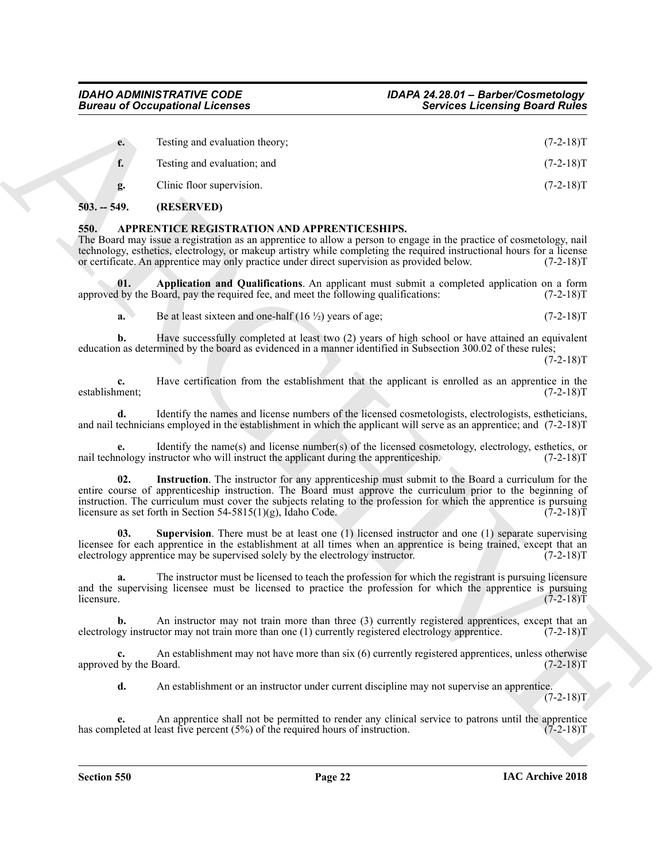|                        | <b>Bureau of Occupational Licenses</b>                                                                                                                                                                                                                                                                                                                                                                     | <b>Services Licensing Board Rules</b> |             |
|------------------------|------------------------------------------------------------------------------------------------------------------------------------------------------------------------------------------------------------------------------------------------------------------------------------------------------------------------------------------------------------------------------------------------------------|---------------------------------------|-------------|
| $e_{\bullet}$          | Testing and evaluation theory;                                                                                                                                                                                                                                                                                                                                                                             |                                       | $(7-2-18)T$ |
| f.                     | Testing and evaluation; and                                                                                                                                                                                                                                                                                                                                                                                |                                       | $(7-2-18)T$ |
| g.                     | Clinic floor supervision.                                                                                                                                                                                                                                                                                                                                                                                  |                                       | $(7-2-18)T$ |
| $503. - 549.$          | (RESERVED)                                                                                                                                                                                                                                                                                                                                                                                                 |                                       |             |
| 550.                   | APPRENTICE REGISTRATION AND APPRENTICESHIPS.<br>The Board may issue a registration as an apprentice to allow a person to engage in the practice of cosmetology, nail<br>technology, esthetics, electrology, or makeup artistry while completing the required instructional hours for a license<br>or certificate. An apprentice may only practice under direct supervision as provided below.              |                                       | $(7-2-18)T$ |
| 01.                    | Application and Qualifications. An applicant must submit a completed application on a form<br>approved by the Board, pay the required fee, and meet the following qualifications:                                                                                                                                                                                                                          |                                       | $(7-2-18)T$ |
| a.                     | Be at least sixteen and one-half $(16 \frac{1}{2})$ years of age;                                                                                                                                                                                                                                                                                                                                          |                                       | $(7-2-18)T$ |
| b.                     | Have successfully completed at least two (2) years of high school or have attained an equivalent<br>education as determined by the board as evidenced in a manner identified in Subsection 300.02 of these rules;                                                                                                                                                                                          |                                       | $(7-2-18)T$ |
| c.<br>establishment;   | Have certification from the establishment that the applicant is enrolled as an apprentice in the                                                                                                                                                                                                                                                                                                           |                                       | $(7-2-18)T$ |
| d.                     | Identify the names and license numbers of the licensed cosmetologists, electrologists, estheticians,<br>and nail technicians employed in the establishment in which the applicant will serve as an apprentice; and $(7-2-18)$ T                                                                                                                                                                            |                                       |             |
|                        | Identify the name(s) and license number(s) of the licensed cosmetology, electrology, esthetics, or<br>nail technology instructor who will instruct the applicant during the apprenticeship.                                                                                                                                                                                                                |                                       | $(7-2-18)T$ |
| 02.                    | Instruction. The instructor for any apprenticeship must submit to the Board a curriculum for the<br>entire course of apprenticeship instruction. The Board must approve the curriculum prior to the beginning of<br>instruction. The curriculum must cover the subjects relating to the profession for which the apprentice is pursuing<br>licensure as set forth in Section $54-5815(1)(g)$ , Idaho Code. |                                       | $(7-2-18)T$ |
| 03.                    | <b>Supervision</b> . There must be at least one $(1)$ licensed instructor and one $(1)$ separate supervising<br>licensee for each apprentice in the establishment at all times when an apprentice is being trained, except that an<br>electrology apprentice may be supervised solely by the electrology instructor.                                                                                       |                                       | $(7-2-18)T$ |
| a.<br>licensure.       | The instructor must be licensed to teach the profession for which the registrant is pursuing licensure<br>and the supervising licensee must be licensed to practice the profession for which the apprentice is pursuing                                                                                                                                                                                    |                                       | $(7-2-18)T$ |
| b.                     | An instructor may not train more than three (3) currently registered apprentices, except that an<br>electrology instructor may not train more than one (1) currently registered electrology apprentice.                                                                                                                                                                                                    |                                       | $(7-2-18)T$ |
| approved by the Board. | An establishment may not have more than $six(6)$ currently registered apprentices, unless otherwise                                                                                                                                                                                                                                                                                                        |                                       | $(7-2-18)T$ |
|                        | An establishment or an instructor under current discipline may not supervise an apprentice.                                                                                                                                                                                                                                                                                                                |                                       |             |
| d.                     |                                                                                                                                                                                                                                                                                                                                                                                                            |                                       | $(7-2-18)T$ |

#### <span id="page-21-0"></span>**503. -- 549. (RESERVED)**

#### <span id="page-21-5"></span><span id="page-21-4"></span><span id="page-21-3"></span><span id="page-21-2"></span><span id="page-21-1"></span>**550. APPRENTICE REGISTRATION AND APPRENTICESHIPS.**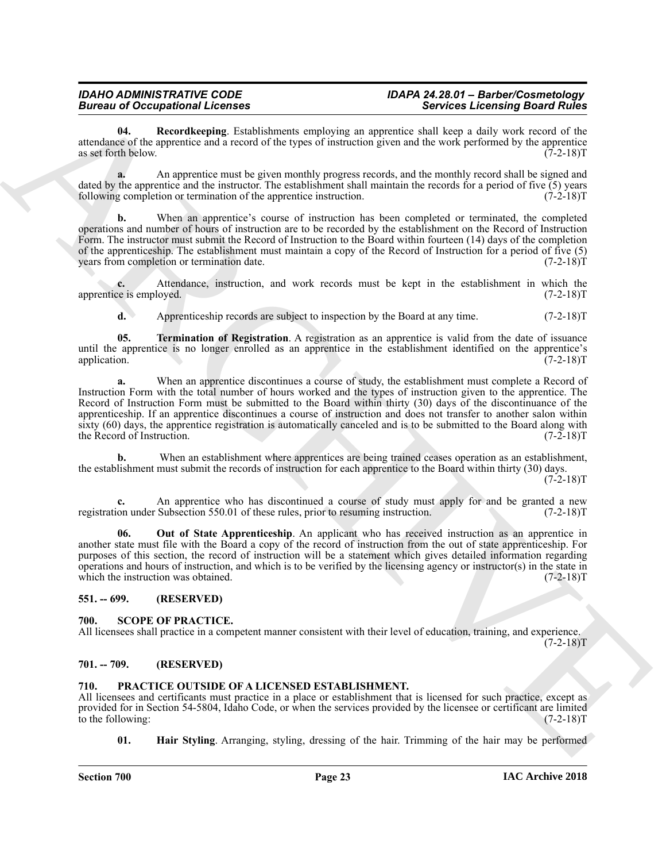<span id="page-22-5"></span>**04. Recordkeeping**. Establishments employing an apprentice shall keep a daily work record of the attendance of the apprentice and a record of the types of instruction given and the work performed by the apprentice as set forth below. (7-2-18)T

**a.** An apprentice must be given monthly progress records, and the monthly record shall be signed and dated by the apprentice and the instructor. The establishment shall maintain the records for a period of five  $(5)$  years following completion or termination of the apprentice instruction.  $(7-2-18)T$ 

**b.** When an apprentice's course of instruction has been completed or terminated, the completed operations and number of hours of instruction are to be recorded by the establishment on the Record of Instruction Form. The instructor must submit the Record of Instruction to the Board within fourteen (14) days of the completion of the apprenticeship. The establishment must maintain a copy of the Record of Instruction for a period of five (5) years from completion or termination date.

**c.** Attendance, instruction, and work records must be kept in the establishment in which the apprentice is employed. (7-2-18)T

<span id="page-22-6"></span>**d.** Apprenticeship records are subject to inspection by the Board at any time.  $(7-2-18)$ T

**05. Termination of Registration**. A registration as an apprentice is valid from the date of issuance until the apprentice is no longer enrolled as an apprentice in the establishment identified on the apprentice's application. (7-2-18)T application.  $(7-2-18)T$ 

Borone of Georgian Contributions and the system of the system of the system of the system of the system of the system of the system of the system of the system of the system of the system of the system of the system of th **a.** When an apprentice discontinues a course of study, the establishment must complete a Record of Instruction Form with the total number of hours worked and the types of instruction given to the apprentice. The Record of Instruction Form must be submitted to the Board within thirty (30) days of the discontinuance of the apprenticeship. If an apprentice discontinues a course of instruction and does not transfer to another salon within sixty (60) days, the apprentice registration is automatically canceled and is to be submitted to the Board along with the Record of Instruction.  $(7-2-18)T$ the Record of Instruction.

**b.** When an establishment where apprentices are being trained ceases operation as an establishment, the establishment must submit the records of instruction for each apprentice to the Board within thirty (30) days.

 $(7-2-18)T$ 

**c.** An apprentice who has discontinued a course of study must apply for and be granted a new registration under Subsection 550.01 of these rules, prior to resuming instruction. (7-2-18)T

<span id="page-22-4"></span>**06. Out of State Apprenticeship**. An applicant who has received instruction as an apprentice in another state must file with the Board a copy of the record of instruction from the out of state apprenticeship. For purposes of this section, the record of instruction will be a statement which gives detailed information regarding operations and hours of instruction, and which is to be verified by the licensing agency or instructor(s) in the state in which the instruction was obtained. (7-2-18)T

### <span id="page-22-0"></span>**551. -- 699. (RESERVED)**

### <span id="page-22-9"></span><span id="page-22-1"></span>**700. SCOPE OF PRACTICE.**

All licensees shall practice in a competent manner consistent with their level of education, training, and experience.  $(7-2-18)T$ 

### <span id="page-22-2"></span>**701. -- 709. (RESERVED)**

### <span id="page-22-7"></span><span id="page-22-3"></span>**710. PRACTICE OUTSIDE OF A LICENSED ESTABLISHMENT.**

All licensees and certificants must practice in a place or establishment that is licensed for such practice, except as provided for in Section 54-5804, Idaho Code, or when the services provided by the licensee or certificant are limited to the following: (7-2-18) to the following:

<span id="page-22-8"></span>**01. Hair Styling**. Arranging, styling, dressing of the hair. Trimming of the hair may be performed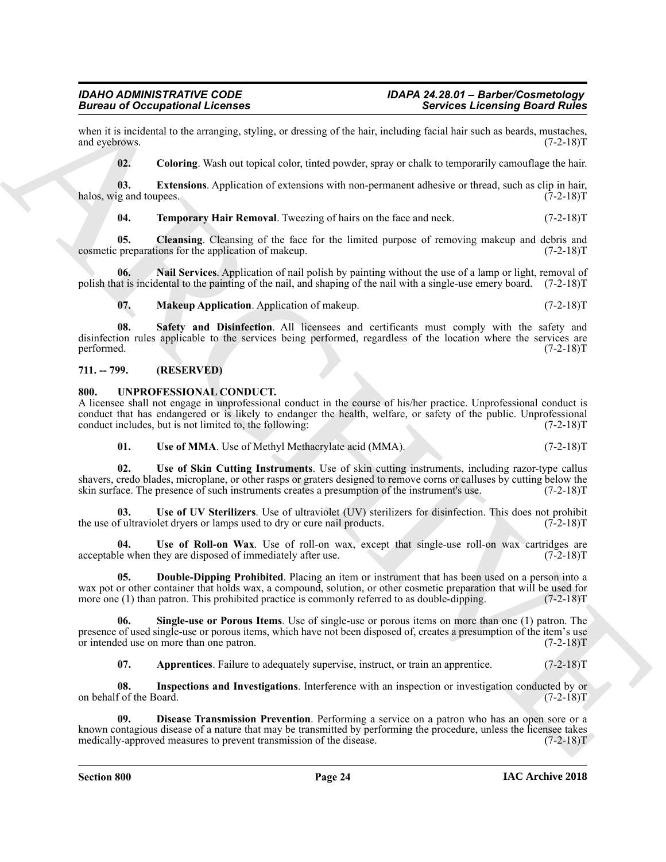when it is incidental to the arranging, styling, or dressing of the hair, including facial hair such as beards, mustaches, and eyebrows. (7-2-18) and eyebrows.

<span id="page-23-4"></span><span id="page-23-3"></span>**02. Coloring**. Wash out topical color, tinted powder, spray or chalk to temporarily camouflage the hair.

**03.** Extensions. Application of extensions with non-permanent adhesive or thread, such as clip in hair, ig and toupees.  $(7-2-18)T$ halos, wig and toupees.

<span id="page-23-8"></span><span id="page-23-2"></span>**04. Temporary Hair Removal**. Tweezing of hairs on the face and neck.  $(7-2-18)T$ 

**05. Cleansing**. Cleansing of the face for the limited purpose of removing makeup and debris and cosmetic preparations for the application of makeup. (7-2-18)T

**06. Nail Services**. Application of nail polish by painting without the use of a lamp or light, removal of polish that is incidental to the painting of the nail, and shaping of the nail with a single-use emery board. (7-2-18)T

<span id="page-23-7"></span><span id="page-23-6"></span><span id="page-23-5"></span>**07.** Makeup Application. Application of makeup. (7-2-18)T

Between a Conception of Licenses<br>
Services Licensing Board Ref.<br>
Services Licensing Board Ref.<br>
and scheme with the stress scheme state of the line and services and the stress scheme of the<br>
U.S. Clubring Walt was applied **08. Safety and Disinfection**. All licensees and certificants must comply with the safety and disinfection rules applicable to the services being performed, regardless of the location where the services are performed. (7-2-18)T

#### <span id="page-23-0"></span>**711. -- 799. (RESERVED)**

#### <span id="page-23-9"></span><span id="page-23-1"></span>**800. UNPROFESSIONAL CONDUCT.**

A licensee shall not engage in unprofessional conduct in the course of his/her practice. Unprofessional conduct is conduct that has endangered or is likely to endanger the health, welfare, or safety of the public. Unprofessional conduct includes, but is not limited to, the following:  $(7-2-18)$ T conduct includes, but is not limited to, the following:

<span id="page-23-18"></span><span id="page-23-17"></span><span id="page-23-15"></span>**01.** Use of MMA. Use of Methyl Methacrylate acid (MMA).  $(7-2-18)T$ 

**02. Use of Skin Cutting Instruments**. Use of skin cutting instruments, including razor-type callus shavers, credo blades, microplane, or other rasps or graters designed to remove corns or calluses by cutting below the skin surface. The presence of such instruments creates a presumption of the instrument's use. (7-2-18)T

**03.** Use of UV Sterilizers. Use of ultraviolet (UV) sterilizers for disinfection. This does not prohibit fultraviolet dryers or lamps used to dry or cure nail products. (7-2-18) the use of ultraviolet dryers or lamps used to dry or cure nail products.

<span id="page-23-16"></span>**04.** Use of Roll-on Wax. Use of roll-on wax, except that single-use roll-on wax cartridges are le when they are disposed of immediately after use. (7-2-18) acceptable when they are disposed of immediately after use.

<span id="page-23-12"></span>**05. Double-Dipping Prohibited**. Placing an item or instrument that has been used on a person into a wax pot or other container that holds wax, a compound, solution, or other cosmetic preparation that will be used for more one (1) than patron. This prohibited practice is commonly referred to as double-dipping. (7-2-18)T more one (1) than patron. This prohibited practice is commonly referred to as double-dipping.

**06. Single-use or Porous Items**. Use of single-use or porous items on more than one (1) patron. The presence of used single-use or porous items, which have not been disposed of, creates a presumption of the item's use or intended use on more than one patron. (7-2-18)T

<span id="page-23-14"></span><span id="page-23-13"></span><span id="page-23-11"></span><span id="page-23-10"></span>**07.** Apprentices. Failure to adequately supervise, instruct, or train an apprentice.  $(7-2-18)T$ 

**08. Inspections and Investigations**. Interference with an inspection or investigation conducted by or on behalf of the Board. (7-2-18)T

**09. Disease Transmission Prevention**. Performing a service on a patron who has an open sore or a known contagious disease of a nature that may be transmitted by performing the procedure, unless the licensee takes medically-approved measures to prevent transmission of the disease. (7-2-18)T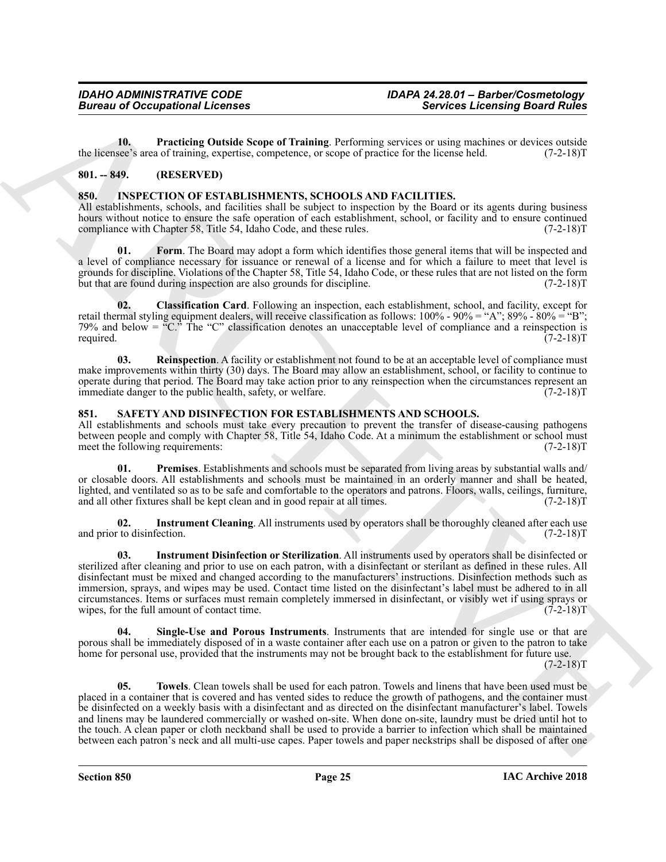<span id="page-24-12"></span>**10. Practicing Outside Scope of Training**. Performing services or using machines or devices outside the licensee's area of training, expertise, competence, or scope of practice for the license held. (7-2-18)T

### <span id="page-24-0"></span>**801. -- 849. (RESERVED)**

#### <span id="page-24-3"></span><span id="page-24-1"></span>**850. INSPECTION OF ESTABLISHMENTS, SCHOOLS AND FACILITIES.**

All establishments, schools, and facilities shall be subject to inspection by the Board or its agents during business hours without notice to ensure the safe operation of each establishment, school, or facility and to ensure continued compliance with Chapter 58, Title 54, Idaho Code, and these rules. (7-2-18)T

<span id="page-24-5"></span>**01. Form**. The Board may adopt a form which identifies those general items that will be inspected and a level of compliance necessary for issuance or renewal of a license and for which a failure to meet that level is grounds for discipline. Violations of the Chapter 58, Title 54, Idaho Code, or these rules that are not listed on the form but that are found during inspection are also grounds for discipline. (7-2-18)  $(7-2-18)$ 

<span id="page-24-4"></span>**02. Classification Card**. Following an inspection, each establishment, school, and facility, except for retail thermal styling equipment dealers, will receive classification as follows: 100% - 90% = "A"; 89% - 80% = "B"; 79% and below = "C." The "C" classification denotes an unacceptable level of compliance and a reinspection is required. (7-2-18)T

<span id="page-24-6"></span>**03. Reinspection**. A facility or establishment not found to be at an acceptable level of compliance must make improvements within thirty (30) days. The Board may allow an establishment, school, or facility to continue to operate during that period. The Board may take action prior to any reinspection when the circumstances represent an immediate danger to the public health, safety, or welfare. (7-2-18)T

#### <span id="page-24-7"></span><span id="page-24-2"></span>**851. SAFETY AND DISINFECTION FOR ESTABLISHMENTS AND SCHOOLS.**

All establishments and schools must take every precaution to prevent the transfer of disease-causing pathogens between people and comply with Chapter 58, Title 54, Idaho Code. At a minimum the establishment or school must meet the following requirements: (7-2-18)T

<span id="page-24-10"></span>**Premises**. Establishments and schools must be separated from living areas by substantial walls and/ or closable doors. All establishments and schools must be maintained in an orderly manner and shall be heated, lighted, and ventilated so as to be safe and comfortable to the operators and patrons. Floors, walls, ceilings, furniture, and all other fixtures shall be kept clean and in good repair at all times. (7-2-18)T

<span id="page-24-8"></span>**02. Instrument Cleaning**. All instruments used by operators shall be thoroughly cleaned after each use and prior to disinfection. (7-2-18)T

<span id="page-24-9"></span>**03. Instrument Disinfection or Sterilization**. All instruments used by operators shall be disinfected or sterilized after cleaning and prior to use on each patron, with a disinfectant or sterilant as defined in these rules. All disinfectant must be mixed and changed according to the manufacturers' instructions. Disinfection methods such as immersion, sprays, and wipes may be used. Contact time listed on the disinfectant's label must be adhered to in all circumstances. Items or surfaces must remain completely immersed in disinfectant, or visibly wet if using sprays or wipes, for the full amount of contact time. (7-2-18)T

<span id="page-24-11"></span>**04. Single-Use and Porous Instruments**. Instruments that are intended for single use or that are porous shall be immediately disposed of in a waste container after each use on a patron or given to the patron to take home for personal use, provided that the instruments may not be brought back to the establishment for future use.

 $(7-2-18)T$ 

Bureau of Occupations I. Fevrience serves of Training Periodics Constraints and the serves of the serves of the serves of the serves of the serves of the serves of the serves of the serves of the serves of the serves of t **05. Towels**. Clean towels shall be used for each patron. Towels and linens that have been used must be placed in a container that is covered and has vented sides to reduce the growth of pathogens, and the container must be disinfected on a weekly basis with a disinfectant and as directed on the disinfectant manufacturer's label. Towels and linens may be laundered commercially or washed on-site. When done on-site, laundry must be dried until hot to the touch. A clean paper or cloth neckband shall be used to provide a barrier to infection which shall be maintained between each patron's neck and all multi-use capes. Paper towels and paper neckstrips shall be disposed of after one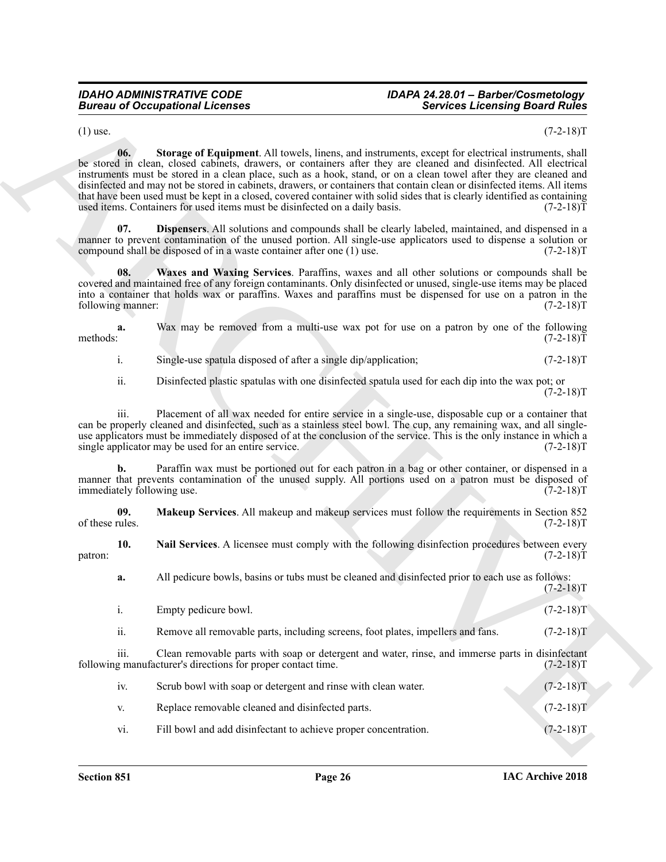# *IDAHO ADMINISTRATIVE CODE IDAPA 24.28.01 – Barber/Cosmetology*

<span id="page-25-3"></span>(1) use.  $(7-2-18)T$ 

Biomas of Occupations I. Leonard Control is the set of the set of the set of the set of the set of the set of the set of the set of the set of the set of the set of the set of the set of the set of the set of the set of t **06. Storage of Equipment**. All towels, linens, and instruments, except for electrical instruments, shall be stored in clean, closed cabinets, drawers, or containers after they are cleaned and disinfected. All electrical instruments must be stored in a clean place, such as a hook, stand, or on a clean towel after they are cleaned and disinfected and may not be stored in cabinets, drawers, or containers that contain clean or disinfected items. All items that have been used must be kept in a closed, covered container with solid sides that is clearly identified as containing used items. Containers for used items must be disinfected on a daily basis. (7-2-18)T

<span id="page-25-0"></span>**Dispensers**. All solutions and compounds shall be clearly labeled, maintained, and dispensed in a manner to prevent contamination of the unused portion. All single-use applicators used to dispense a solution or compound shall be disposed of in a waste container after one (1) use. (7-2-18)T

<span id="page-25-4"></span>**08. Waxes and Waxing Services**. Paraffins, waxes and all other solutions or compounds shall be covered and maintained free of any foreign contaminants. Only disinfected or unused, single-use items may be placed into a container that holds wax or paraffins. Waxes and paraffins must be dispensed for use on a patron in the following manner: (7-2-18)T

**a.** Wax may be removed from a multi-use wax pot for use on a patron by one of the following methods:  $(7-2-18)T$ methods:  $(7-2-18)T$ 

i. Single-use spatula disposed of after a single dip/application; (7-2-18)T

ii. Disinfected plastic spatulas with one disinfected spatula used for each dip into the wax pot; or  $(7-2-18)T$ 

iii. Placement of all wax needed for entire service in a single-use, disposable cup or a container that can be properly cleaned and disinfected, such as a stainless steel bowl. The cup, any remaining wax, and all singleuse applicators must be immediately disposed of at the conclusion of the service. This is the only instance in which a single applicator may be used for an entire service. (7-2-18) T

**b.** Paraffin wax must be portioned out for each patron in a bag or other container, or dispensed in a manner that prevents contamination of the unused supply. All portions used on a patron must be disposed of immediately following use. (7-2-18)T

<span id="page-25-1"></span>**09. Makeup Services**. All makeup and makeup services must follow the requirements in Section 852 of these rules.  $(7-2-18)T$ 

**10. Nail Services**. A licensee must comply with the following disinfection procedures between every (7-2-18) patron:  $(7-2-18)T$ 

<span id="page-25-2"></span>**a.** All pedicure bowls, basins or tubs must be cleaned and disinfected prior to each use as follows:  $(7-2-18)T$ 

| Empty pedicure bowl.                                                            | $(7-2-18)T$ |
|---------------------------------------------------------------------------------|-------------|
| Remove all removable parts, including screens, foot plates, impellers and fans. | $(7-2-18)T$ |

iii. Clean removable parts with soap or detergent and water, rinse, and immerse parts in disinfectant g manufacturer's directions for proper contact time. (7-2-18) following manufacturer's directions for proper contact time.

| 1V. | Scrub bowl with soap or detergent and rinse with clean water. | $(7-2-18)T$ |
|-----|---------------------------------------------------------------|-------------|
|     | Replace removable cleaned and disinfected parts.              | $(7-2-18)T$ |

vi. Fill bowl and add disinfectant to achieve proper concentration. (7-2-18)T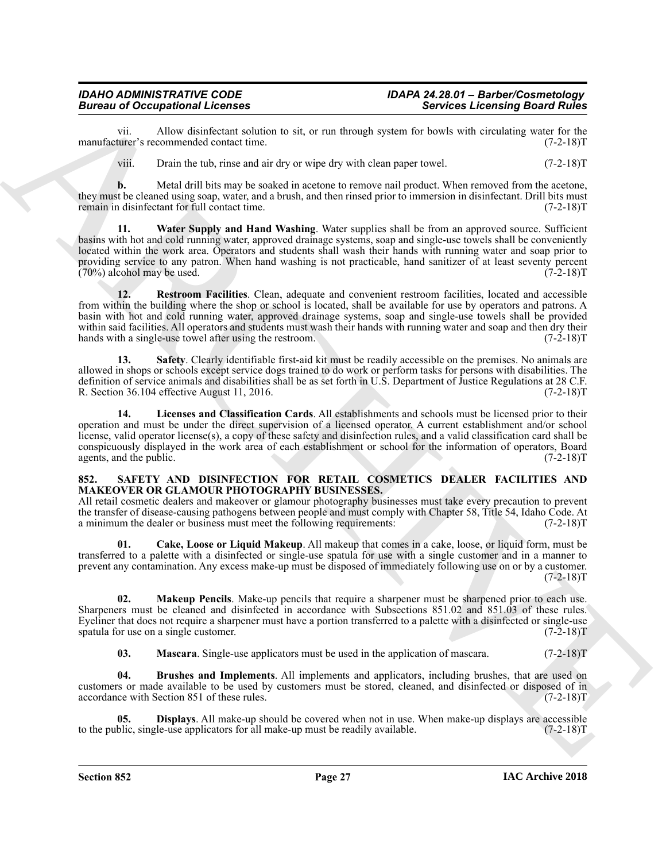#### *IDAHO ADMINISTRATIVE CODE IDAPA 24.28.01 – Barber/Cosmetology*  **Bureau of Occupational Licenses**

vii. Allow disinfectant solution to sit, or run through system for bowls with circulating water for the turer's recommended contact time. (7-2-18) manufacturer's recommended contact time.

<span id="page-26-4"></span>viii. Drain the tub, rinse and air dry or wipe dry with clean paper towel. (7-2-18)T

**b.** Metal drill bits may be soaked in acetone to remove nail product. When removed from the acetone, they must be cleaned using soap, water, and a brush, and then rinsed prior to immersion in disinfectant. Drill bits must remain in disinfectant for full contact time. (7-2-18)T

Because of Cocosigntifications of the state of the state and the state of the state of the state of the state of the state of the state of the state of the state of the state of the state of the state of the state of the **11. Water Supply and Hand Washing**. Water supplies shall be from an approved source. Sufficient basins with hot and cold running water, approved drainage systems, soap and single-use towels shall be conveniently located within the work area. Operators and students shall wash their hands with running water and soap prior to providing service to any patron. When hand washing is not practicable, hand sanitizer of at least seventy percent  $(70\%)$  alcohol may be used.  $(7-2-18)$ T

<span id="page-26-2"></span>**12. Restroom Facilities**. Clean, adequate and convenient restroom facilities, located and accessible from within the building where the shop or school is located, shall be available for use by operators and patrons. A basin with hot and cold running water, approved drainage systems, soap and single-use towels shall be provided within said facilities. All operators and students must wash their hands with running water and soap and then dry their hands with a single-use towel after using the restroom. (7-2-18)T

<span id="page-26-3"></span>**13. Safety**. Clearly identifiable first-aid kit must be readily accessible on the premises. No animals are allowed in shops or schools except service dogs trained to do work or perform tasks for persons with disabilities. The definition of service animals and disabilities shall be as set forth in U.S. Department of Justice Regulations at 28 C.F. R. Section 36.104 effective August 11, 2016. (7-2-18)T

<span id="page-26-1"></span>**14. Licenses and Classification Cards**. All establishments and schools must be licensed prior to their operation and must be under the direct supervision of a licensed operator. A current establishment and/or school license, valid operator license(s), a copy of these safety and disinfection rules, and a valid classification card shall be conspicuously displayed in the work area of each establishment or school for the information of operators, Board agents, and the public. (7-2-18) agents, and the public.

#### <span id="page-26-5"></span><span id="page-26-0"></span>**852. SAFETY AND DISINFECTION FOR RETAIL COSMETICS DEALER FACILITIES AND MAKEOVER OR GLAMOUR PHOTOGRAPHY BUSINESSES.**

All retail cosmetic dealers and makeover or glamour photography businesses must take every precaution to prevent the transfer of disease-causing pathogens between people and must comply with Chapter 58, Title 54, Idaho Code. At a minimum the dealer or business must meet the following requirements: (7-2-18) a minimum the dealer or business must meet the following requirements:

<span id="page-26-7"></span>**01. Cake, Loose or Liquid Makeup**. All makeup that comes in a cake, loose, or liquid form, must be transferred to a palette with a disinfected or single-use spatula for use with a single customer and in a manner to prevent any contamination. Any excess make-up must be disposed of immediately following use on or by a customer.  $(7-2-18)T$ 

**02. Makeup Pencils**. Make-up pencils that require a sharpener must be sharpened prior to each use. Sharpeners must be cleaned and disinfected in accordance with Subsections 851.02 and 851.03 of these rules. Eyeliner that does not require a sharpener must have a portion transferred to a palette with a disinfected or single-use spatula for use on a single customer. (7-2-18)T

<span id="page-26-10"></span><span id="page-26-9"></span><span id="page-26-8"></span><span id="page-26-6"></span>**03. Mascara**. Single-use applicators must be used in the application of mascara. (7-2-18)

**04. Brushes and Implements**. All implements and applicators, including brushes, that are used on customers or made available to be used by customers must be stored, cleaned, and disinfected or disposed of in accordance with Section 851 of these rules. (7-2-18)T

**05. Displays**. All make-up should be covered when not in use. When make-up displays are accessible blic, single-use applicators for all make-up must be readily available. (7-2-18) to the public, single-use applicators for all make-up must be readily available.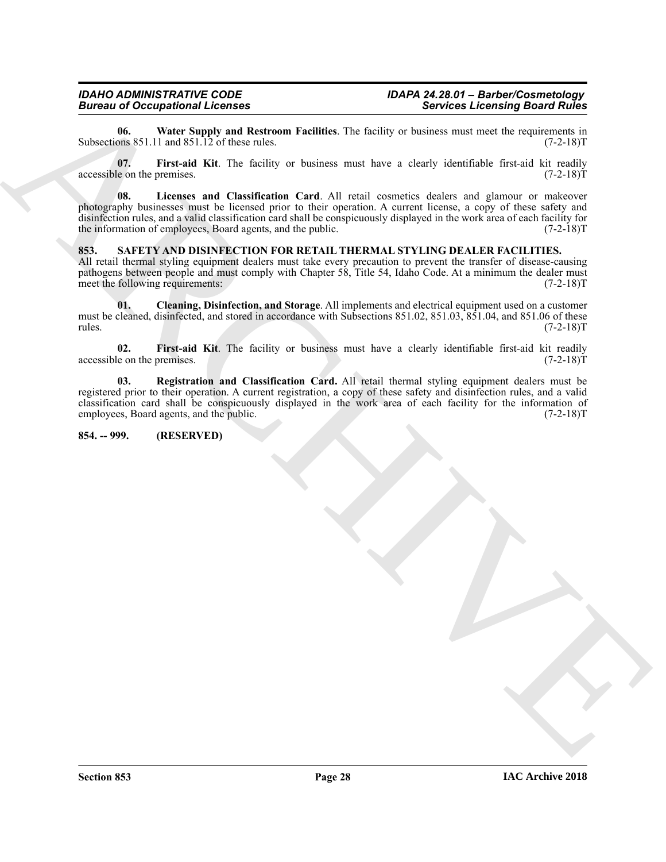<span id="page-27-4"></span>**06.** Water Supply and Restroom Facilities. The facility or business must meet the requirements in ons 851.11 and 851.12 of these rules. Subsections  $851.11$  and  $851.12$  of these rules.

<span id="page-27-3"></span><span id="page-27-2"></span>**07. First-aid Kit**. The facility or business must have a clearly identifiable first-aid kit readily accessible on the premises.  $(7-2-18)T$ 

**Bureau of Occupation II** (Revised and Revise the State of Services Lecturing Board Radio Control in the Schwarz of Eq. (A) (Revision III (Revision III) (Revision III) (Revision III) (Revision III) (Revision III) (Revisio **08. Licenses and Classification Card**. All retail cosmetics dealers and glamour or makeover photography businesses must be licensed prior to their operation. A current license, a copy of these safety and disinfection rules, and a valid classification card shall be conspicuously displayed in the work area of each facility for the information of employees, Board agents, and the public. (7-2-18)T

<span id="page-27-5"></span><span id="page-27-0"></span>**853. SAFETY AND DISINFECTION FOR RETAIL THERMAL STYLING DEALER FACILITIES.** All retail thermal styling equipment dealers must take every precaution to prevent the transfer of disease-causing pathogens between people and must comply with Chapter 58, Title 54, Idaho Code. At a minimum the dealer must meet the following requirements:  $(7-2-18)$ T

<span id="page-27-6"></span>**01. Cleaning, Disinfection, and Storage**. All implements and electrical equipment used on a customer must be cleaned, disinfected, and stored in accordance with Subsections 851.02, 851.03, 851.04, and 851.06 of these rules. (7-2-18)T

<span id="page-27-7"></span>**02.** First-aid Kit. The facility or business must have a clearly identifiable first-aid kit readily le on the premises. (7-2-18) accessible on the premises.

<span id="page-27-8"></span>**03. Registration and Classification Card.** All retail thermal styling equipment dealers must be registered prior to their operation. A current registration, a copy of these safety and disinfection rules, and a valid classification card shall be conspicuously displayed in the work area of each facility for the information of employees, Board agents, and the public. (7-2-18)T

<span id="page-27-1"></span>**854. -- 999. (RESERVED)**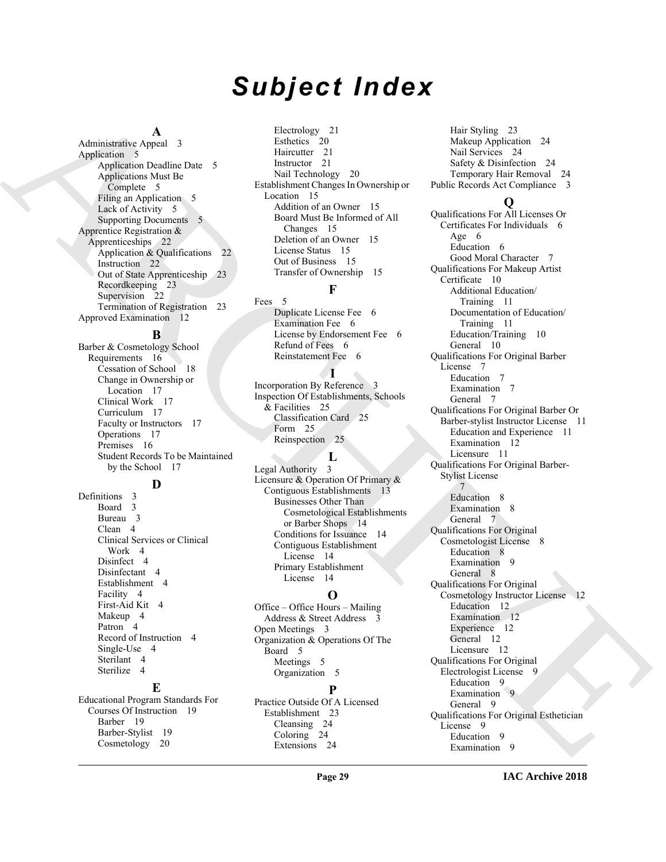# *Subject Index*

### **A**

Administrative Appeal 3 Application 5 Application Deadline Date 5 Applications Must Be Complete 5 Filing an Application 5 Lack of Activity 5 Supporting Documents 5 Apprentice Registration & Apprenticeships 22 Application & Qualifications 22 Instruction 22 Out of State Apprenticeship 23 Recordkeeping 23 Supervision 22 Termination of Registration 23 Approved Examination 12

#### **B**

Barber & Cosmetology School Requirements 16 Cessation of School 18 Change in Ownership or Location 17 Clinical Work 17 Curriculum 17 Faculty or Instructors 17 Operations 17 Premises 16 Student Records To be Maintained by the School 17

#### **D**

Definitions 3 Board 3 Bureau 3 Clean 4 Clinical Services or Clinical Work 4 Disinfect 4 Disinfectant 4 Establishment 4 Facility 4 First-Aid Kit 4 Makeup 4 Patron<sub>4</sub> Record of Instruction 4 Single-Use 4 Sterilant 4 Sterilize 4

### **E**

Educational Program Standards For Courses Of Instruction 19 Barber 19 Barber-Stylist 19 Cosmetology 20

Electrology 21 Esthetics<sup>2</sup>20 Haircutter 21 Instructor 21 Nail Technology 20 Establishment Changes In Ownership or Location 15 Addition of an Owner 15 Board Must Be Informed of All Changes 15 Deletion of an Owner 15 License Status 15 Out of Business 15 Transfer of Ownership 15

#### **F**

Fees 5 Duplicate License Fee 6 Examination Fee 6 License by Endorsement Fee 6 Refund of Fees 6 Reinstatement Fee 6

#### **I**

Incorporation By Reference 3 Inspection Of Establishments, Schools & Facilities 25 Classification Card 25 Form 25 Reinspection 25

### **L**

Legal Authority 3 Licensure & Operation Of Primary & Contiguous Establishments 13 Businesses Other Than Cosmetological Establishments or Barber Shops 14 Conditions for Issuance 14 Contiguous Establishment License 14 Primary Establishment License 14

### **O**

Office – Office Hours – Mailing Address & Street Address Open Meetings 3 Organization & Operations Of The Board 5 Meetings 5 Organization 5

### **P**

Practice Outside Of A Licensed Establishment 23 Cleansing 24 Coloring 24 Extensions 24

Hair Styling 23 Makeup Application 24 Nail Services 24 Safety & Disinfection 24 Temporary Hair Removal 24 Public Records Act Compliance 3

### **Q**

[A](#page-4-6)nthroposite [C](#page-24-3)ontrol (methods ) interdeterry  $\lambda$  (methods ) interdeterry  $\lambda$  (methods ) interdeterry  $\lambda$  (methods ) interdeterry  $\lambda$  (methods ) interdeterry  $\lambda$  (methods ) interdeterry  $\lambda$  (methods ) interdeterry  $\$ Qualifications For All Licenses Or Certificates For Individuals 6 Age 6 Education 6 Good Moral Character 7 Qualifications For Makeup Artist Certificate 10 Additional Education/ Training 11 Documentation of Education/ Training 11 Education/Training 10 General 10 Qualifications For Original Barber License 7 Education 7 Examination 7 General 7 Qualifications For Original Barber Or Barber-stylist Instructor License 11 Education and Experience 11 Examination 12 Licensure 11 Qualifications For Original Barber-Stylist License 7 Education 8 Examination 8 General 7 Qualifications For Original Cosmetologist License 8 Education 8 Examination 9 General 8 Qualifications For Original Cosmetology Instructor License 12 Education 12 Examination 12 Experience 12 General 12 Licensure 12 Qualifications For Original Electrologist License 9 Education 9<br>Examination 9 **Examination** General 9 Qualifications For Original Esthetician License 9 Education 9 Examination 9

**IAC Archive 2018**